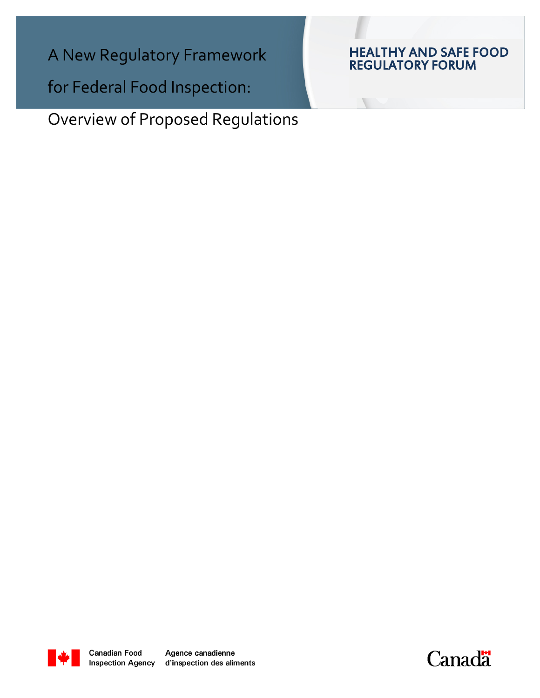A New Regulatory Framework

for Federal Food Inspection:

Overview of Proposed Regulations

# HEALTHY AND SAFE FOOD REGULATORY FORUM



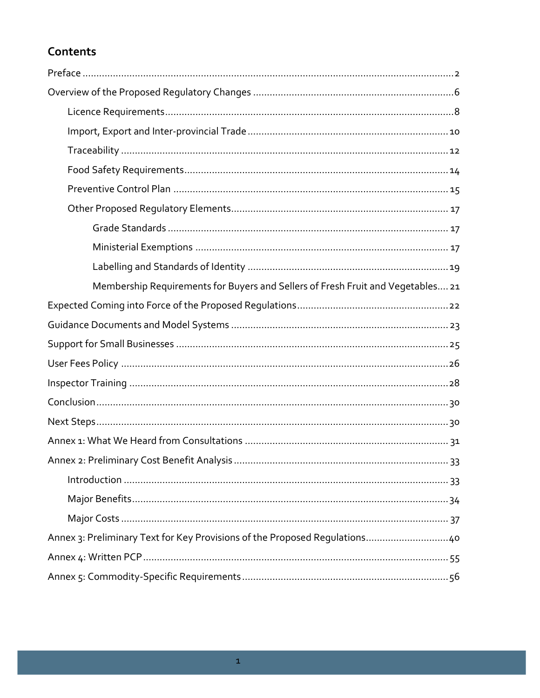# Contents

| Membership Requirements for Buyers and Sellers of Fresh Fruit and Vegetables 21 |  |
|---------------------------------------------------------------------------------|--|
|                                                                                 |  |
|                                                                                 |  |
|                                                                                 |  |
|                                                                                 |  |
|                                                                                 |  |
|                                                                                 |  |
|                                                                                 |  |
|                                                                                 |  |
|                                                                                 |  |
|                                                                                 |  |
|                                                                                 |  |
|                                                                                 |  |
| Annex 3: Preliminary Text for Key Provisions of the Proposed Regulations40      |  |
|                                                                                 |  |
|                                                                                 |  |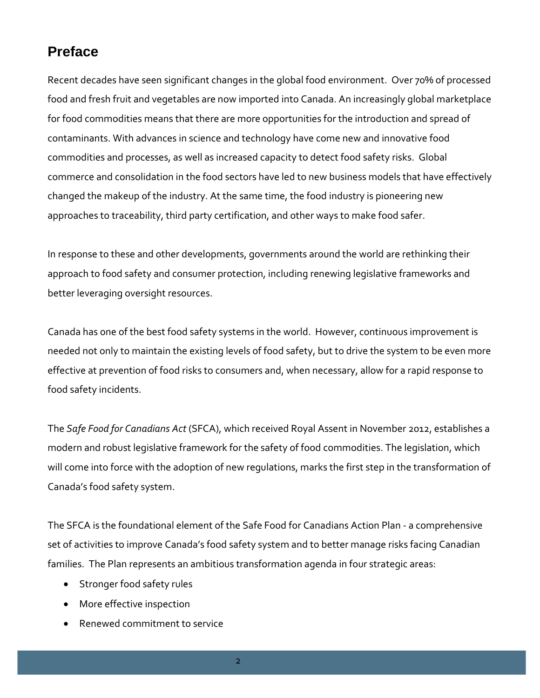# <span id="page-2-0"></span>**Preface**

Recent decades have seen significant changes in the global food environment. Over 70% of processed food and fresh fruit and vegetables are now imported into Canada. An increasingly global marketplace for food commodities means that there are more opportunities for the introduction and spread of contaminants. With advances in science and technology have come new and innovative food commodities and processes, as well as increased capacity to detect food safety risks. Global commerce and consolidation in the food sectors have led to new business models that have effectively changed the makeup of the industry. At the same time, the food industry is pioneering new approaches to traceability, third party certification, and other ways to make food safer.

In response to these and other developments, governments around the world are rethinking their approach to food safety and consumer protection, including renewing legislative frameworks and better leveraging oversight resources.

Canada has one of the best food safety systems in the world. However, continuous improvement is needed not only to maintain the existing levels of food safety, but to drive the system to be even more effective at prevention of food risks to consumers and, when necessary, allow for a rapid response to food safety incidents.

The *Safe Food for Canadians Act* (SFCA), which received Royal Assent in November 2012, establishes a modern and robust legislative framework for the safety of food commodities. The legislation, which will come into force with the adoption of new regulations, marks the first step in the transformation of Canada's food safety system.

The SFCA is the foundational element of the Safe Food for Canadians Action Plan *-* a comprehensive set of activities to improve Canada's food safety system and to better manage risks facing Canadian families. The Plan represents an ambitious transformation agenda in four strategic areas:

- Stronger food safety rules
- More effective inspection
- Renewed commitment to service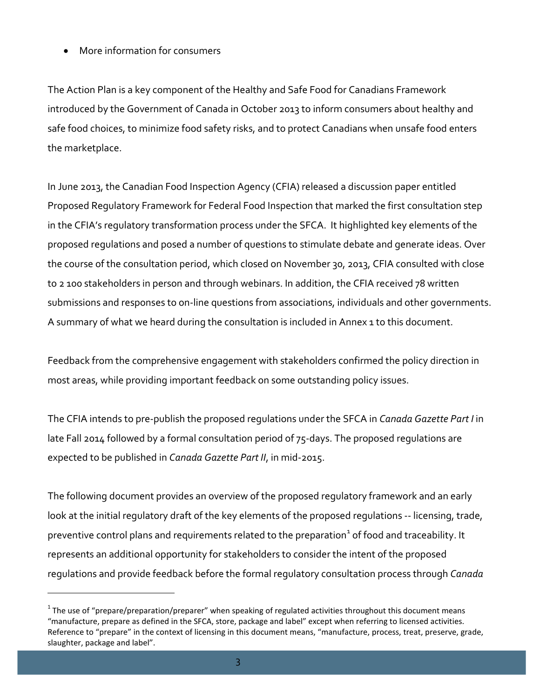• More information for consumers

The Action Plan is a key component of the [Healthy and Safe Food for Canadians Framework](http://www.healthycanadians.gc.ca/eating-nutrition/safety-salubrite/safe_food-securite_alimentaire-eng.php?hycnd_src=flu_13&medium=banner_link&campaign=hpfeaturebox)  introduced by the Government of Canada in October 2013 to inform consumers about healthy and safe food choices, to minimize food safety risks, and to protect Canadians when unsafe food enters the marketplace.

In June 2013, the Canadian Food Inspection Agency (CFIA) released a discussion paper entitled Proposed Regulatory Framework for Federal Food Inspection that marked the first consultation step in the CFIA's regulatory transformation process under the SFCA. It highlighted key elements of the proposed regulations and posed a number of questions to stimulate debate and generate ideas. Over the course of the consultation period, which closed on November 30, 2013, CFIA consulted with close to 2 100 stakeholders in person and through webinars. In addition, the CFIA received 78 written submissions and responses to on-line questions from associations, individuals and other governments. A summary of what we heard during the consultation is included in Annex 1 to this document.

Feedback from the comprehensive engagement with stakeholders confirmed the policy direction in most areas, while providing important feedback on some outstanding policy issues.

The CFIA intends to pre-publish the proposed regulations under the SFCA in *Canada Gazette Part I* in late Fall 2014 followed by a formal consultation period of 75-days. The proposed regulations are expected to be published in *Canada Gazette Part II*, in mid-2015.

The following document provides an overview of the proposed regulatory framework and an early look at the initial regulatory draft of the key elements of the proposed regulations -- licensing, trade, preventive control plans and requirements related to the preparation<sup>[1](#page-3-0)</sup> of food and traceability. It represents an additional opportunity for stakeholders to consider the intent of the proposed regulations and provide feedback before the formal regulatory consultation process through *Canada* 

l

<span id="page-3-0"></span> $1$  The use of "prepare/preparation/preparer" when speaking of regulated activities throughout this document means "manufacture, prepare as defined in the SFCA, store, package and label" except when referring to licensed activities. Reference to "prepare" in the context of licensing in this document means, "manufacture, process, treat, preserve, grade, slaughter, package and label".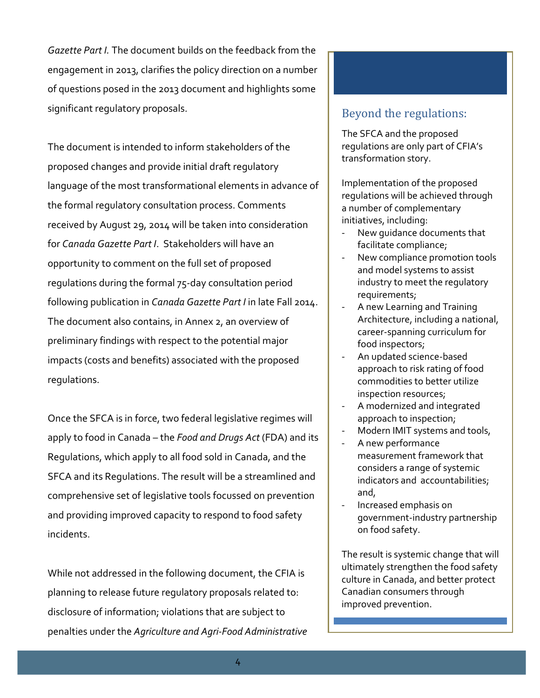*Gazette Part I.* The document builds on the feedback from the engagement in 2013, clarifies the policy direction on a number of questions posed in the 2013 document and highlights some significant regulatory proposals.

The document is intended to inform stakeholders of the proposed changes and provide initial draft regulatory language of the most transformational elements in advance of the formal regulatory consultation process. Comments received by August 29, 2014 will be taken into consideration for *Canada Gazette Part I*. Stakeholders will have an opportunity to comment on the full set of proposed regulations during the formal 75-day consultation period following publication in *Canada Gazette Part I* in late Fall 2014. The document also contains, in Annex 2, an overview of preliminary findings with respect to the potential major impacts (costs and benefits) associated with the proposed regulations.

Once the SFCA is in force, two federal legislative regimes will apply to food in Canada – the *Food and Drugs Act* (FDA) and its Regulations, which apply to all food sold in Canada, and the SFCA and its Regulations. The result will be a streamlined and comprehensive set of legislative tools focussed on prevention and providing improved capacity to respond to food safety incidents.

While not addressed in the following document, the CFIA is planning to release future regulatory proposals related to: disclosure of information; violations that are subject to penalties under the *Agriculture and Agri-Food Administrative* 

# Beyond the regulations:

The SFCA and the proposed regulations are only part of CFIA's transformation story.

Implementation of the proposed regulations will be achieved through a number of complementary initiatives, including:

- New quidance documents that facilitate compliance;
- New compliance promotion tools and model systems to assist industry to meet the regulatory requirements;
- A new Learning and Training Architecture, including a national, career-spanning curriculum for food inspectors;
- An updated science-based approach to risk rating of food commodities to better utilize inspection resources;
- A modernized and integrated approach to inspection;
- Modern IMIT systems and tools,
- A new performance measurement framework that considers a range of systemic indicators and accountabilities; and,
- Increased emphasis on government-industry partnership on food safety.

The result is systemic change that will ultimately strengthen the food safety culture in Canada, and better protect Canadian consumers through improved prevention.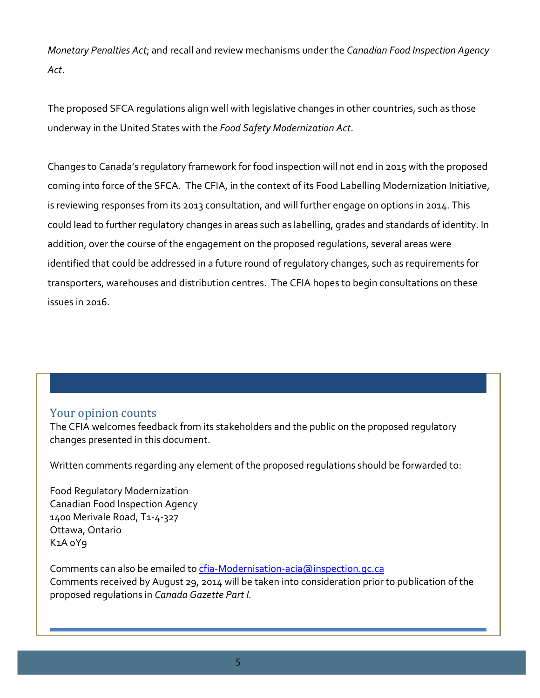*Monetary Penalties Act*; and recall and review mechanisms under the *Canadian Food Inspection Agency Act*.

The proposed SFCA regulations align well with legislative changes in other countries, such as those underway in the United States with the *Food Safety Modernization Act*.

Changes to Canada's regulatory framework for food inspection will not end in 2015 with the proposed coming into force of the SFCA. The CFIA, in the context of its Food Labelling Modernization Initiative, is reviewing responses from its 2013 consultation, and will further engage on options in 2014. This could lead to further regulatory changes in areas such as labelling, grades and standards of identity. In addition, over the course of the engagement on the proposed regulations, several areas were identified that could be addressed in a future round of regulatory changes, such as requirements for transporters, warehouses and distribution centres. The CFIA hopes to begin consultations on these issues in 2016.

## Your opinion counts

The CFIA welcomes feedback from its stakeholders and the public on the proposed regulatory changes presented in this document.

Written comments regarding any element of the proposed regulations should be forwarded to:

Food Regulatory Modernization Canadian Food Inspection Agency 1400 Merivale Road, T1-4-327 Ottawa, Ontario K1A 0Y9

Comments can also be emailed t[o cfia-Modernisation-acia@inspection.gc.ca](mailto:cfia-Modernisation-acia@inspection.gc.ca) Comments received by August 29, 2014 will be taken into consideration prior to publication of the proposed regulations in *Canada Gazette Part I.*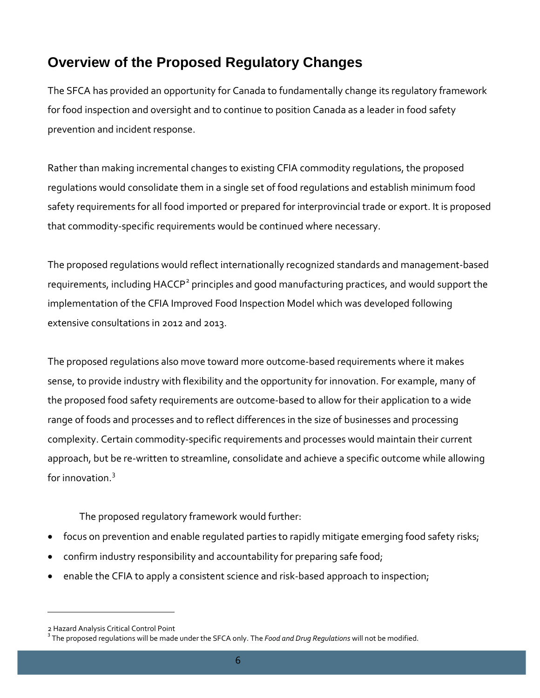# <span id="page-6-0"></span>**Overview of the Proposed Regulatory Changes**

The SFCA has provided an opportunity for Canada to fundamentally change its regulatory framework for food inspection and oversight and to continue to position Canada as a leader in food safety prevention and incident response.

Rather than making incremental changes to existing CFIA commodity regulations, the proposed regulations would consolidate them in a single set of food regulations and establish minimum food safety requirements for all food imported or prepared for interprovincial trade or export. It is proposed that commodity-specific requirements would be continued where necessary.

The proposed regulations would reflect internationally recognized standards and management-based requirements, including HACCP<sup>[2](#page-6-1)</sup> principles and good manufacturing practices, and would support the implementation of the CFIA Improved Food Inspection Model which was developed following extensive consultations in 2012 and 2013.

The proposed regulations also move toward more outcome-based requirements where it makes sense, to provide industry with flexibility and the opportunity for innovation. For example, many of the proposed food safety requirements are outcome-based to allow for their application to a wide range of foods and processes and to reflect differences in the size of businesses and processing complexity. Certain commodity-specific requirements and processes would maintain their current approach, but be re-written to streamline, consolidate and achieve a specific outcome while allowing for innovation.[3](#page-6-2)

The proposed regulatory framework would further:

- focus on prevention and enable regulated parties to rapidly mitigate emerging food safety risks;
- confirm industry responsibility and accountability for preparing safe food;
- enable the CFIA to apply a consistent science and risk-based approach to inspection;

l

<span id="page-6-1"></span><sup>2</sup> Hazard Analysis Critical Control Point

<span id="page-6-2"></span><sup>3</sup> The proposed regulations will be made under the SFCA only. The *Food and Drug Regulations* will not be modified.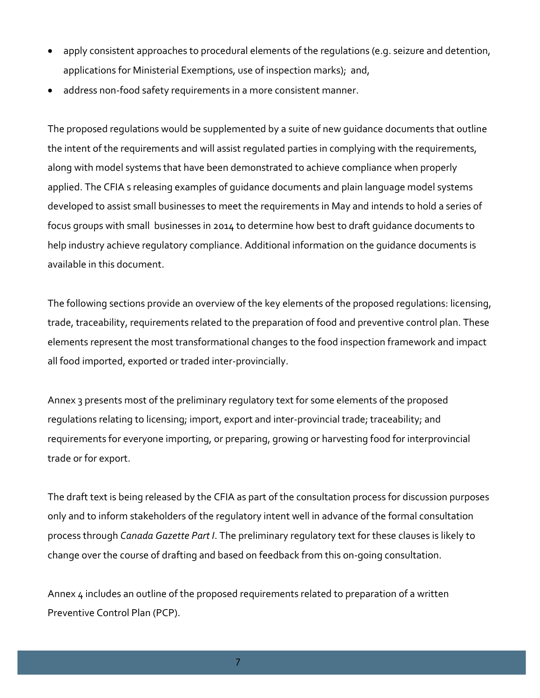- apply consistent approaches to procedural elements of the requiations (e.g. seizure and detention, applications for Ministerial Exemptions, use of inspection marks); and,
- address non-food safety requirements in a more consistent manner.

The proposed regulations would be supplemented by a suite of new guidance documents that outline the intent of the requirements and will assist regulated parties in complying with the requirements, along with model systems that have been demonstrated to achieve compliance when properly applied. The CFIA s releasing examples of guidance documents and plain language model systems developed to assist small businesses to meet the requirements in May and intends to hold a series of focus groups with small businesses in 2014 to determine how best to draft guidance documents to help industry achieve regulatory compliance. Additional information on the guidance documents is available in this document.

The following sections provide an overview of the key elements of the proposed regulations: licensing, trade, traceability, requirements related to the preparation of food and preventive control plan. These elements represent the most transformational changes to the food inspection framework and impact all food imported, exported or traded inter-provincially.

Annex 3 presents most of the preliminary regulatory text for some elements of the proposed regulations relating to licensing; import, export and inter-provincial trade; traceability; and requirements for everyone importing, or preparing, growing or harvesting food for interprovincial trade or for export.

The draft text is being released by the CFIA as part of the consultation process for discussion purposes only and to inform stakeholders of the regulatory intent well in advance of the formal consultation process through *Canada Gazette Part I*. The preliminary regulatory text for these clauses is likely to change over the course of drafting and based on feedback from this on-going consultation.

Annex 4 includes an outline of the proposed requirements related to preparation of a written Preventive Control Plan (PCP).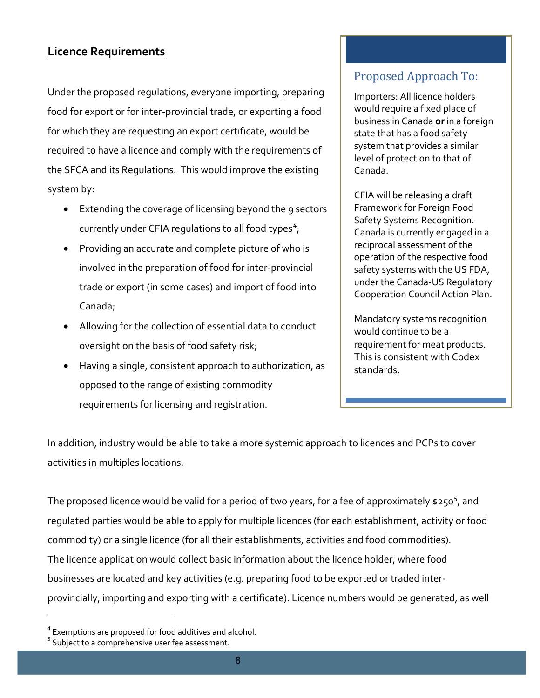# <span id="page-8-0"></span>**Licence Requirements**

Under the proposed regulations, everyone importing, preparing food for export or for inter-provincial trade, or exporting a food for which they are requesting an export certificate, would be required to have a licence and comply with the requirements of the SFCA and its Regulations. This would improve the existing system by:

- Extending the coverage of licensing beyond the 9 sectors currently under CFIA regulations to all food types<sup>[4](#page-8-1)</sup>;
- Providing an accurate and complete picture of who is involved in the preparation of food for inter-provincial trade or export (in some cases) and import of food into Canada;
- Allowing for the collection of essential data to conduct oversight on the basis of food safety risk;
- Having a single, consistent approach to authorization, as opposed to the range of existing commodity requirements for licensing and registration.

# Proposed Approach To:

Importers: All licence holders would require a fixed place of business in Canada **or** in a foreign state that has a food safety system that provides a similar level of protection to that of Canada.

CFIA will be releasing a draft Framework for Foreign Food Safety Systems Recognition. Canada is currently engaged in a reciprocal assessment of the operation of the respective food safety systems with the US FDA, under the Canada-US Regulatory Cooperation Council Action Plan.

Mandatory systems recognition would continue to be a requirement for meat products. This is consistent with Codex standards.

In addition, industry would be able to take a more systemic approach to licences and PCPs to cover activities in multiples locations.

The proposed licence would be valid for a period of two years, for a fee of approximately  $$250<sup>5</sup>$  $$250<sup>5</sup>$  $$250<sup>5</sup>$ , and regulated parties would be able to apply for multiple licences (for each establishment, activity or food commodity) or a single licence (for all their establishments, activities and food commodities). The licence application would collect basic information about the licence holder, where food businesses are located and key activities (e.g. preparing food to be exported or traded interprovincially, importing and exporting with a certificate). Licence numbers would be generated, as well

l

<span id="page-8-1"></span><sup>4</sup> Exemptions are proposed for food additives and alcohol.

<span id="page-8-2"></span><sup>&</sup>lt;sup>5</sup> Subject to a comprehensive user fee assessment.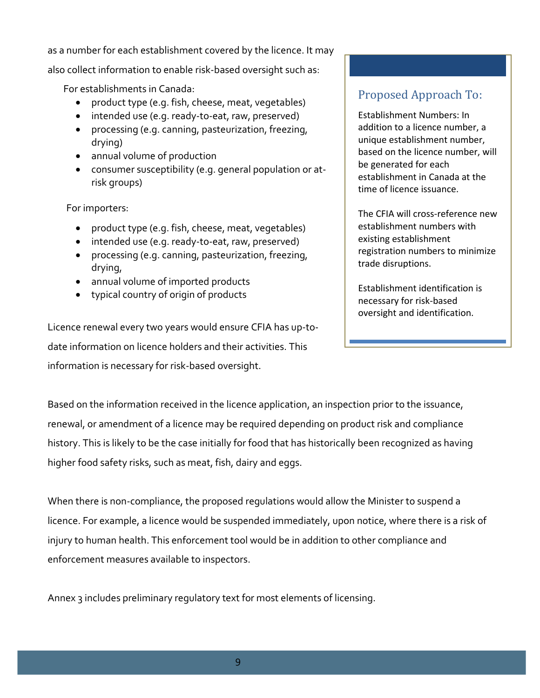as a number for each establishment covered by the licence. It may

also collect information to enable risk-based oversight such as:

For establishments in Canada:

- product type (e.g. fish, cheese, meat, vegetables)
- intended use (e.g. ready-to-eat, raw, preserved)
- processing (e.g. canning, pasteurization, freezing, drying)
- annual volume of production
- consumer susceptibility (e.g. general population or atrisk groups)

For importers:

- product type (e.g. fish, cheese, meat, vegetables)
- intended use (e.g. ready-to-eat, raw, preserved)
- processing (e.g. canning, pasteurization, freezing, drying,
- annual volume of imported products
- typical country of origin of products

Licence renewal every two years would ensure CFIA has up-todate information on licence holders and their activities. This information is necessary for risk-based oversight.

# Proposed Approach To:

Establishment Numbers: In addition to a licence number, a unique establishment number, based on the licence number, will be generated for each establishment in Canada at the time of licence issuance.

The CFIA will cross-reference new establishment numbers with existing establishment registration numbers to minimize trade disruptions.

Establishment identification is necessary for risk-based oversight and identification.

Based on the information received in the licence application, an inspection prior to the issuance, renewal, or amendment of a licence may be required depending on product risk and compliance history. This is likely to be the case initially for food that has historically been recognized as having higher food safety risks, such as meat, fish, dairy and eggs.

When there is non-compliance, the proposed regulations would allow the Minister to suspend a licence. For example, a licence would be suspended immediately, upon notice, where there is a risk of injury to human health. This enforcement tool would be in addition to other compliance and enforcement measures available to inspectors.

Annex 3 includes preliminary regulatory text for most elements of licensing.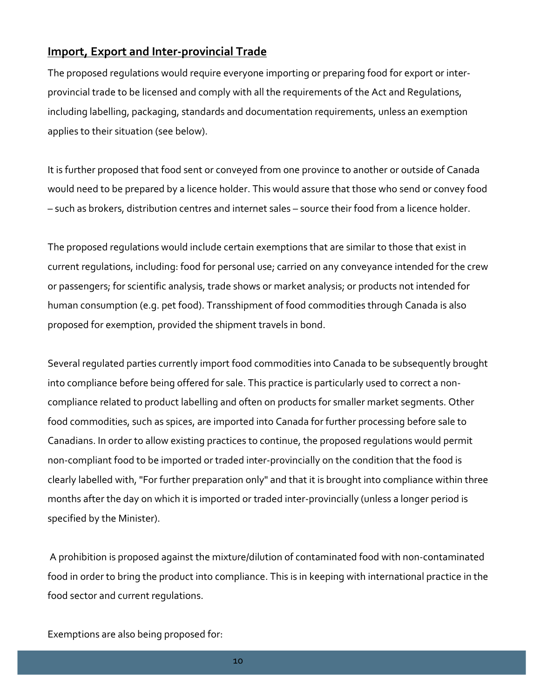# <span id="page-10-0"></span>**Import, Export and Inter-provincial Trade**

The proposed regulations would require everyone importing or preparing food for export or interprovincial trade to be licensed and comply with all the requirements of the Act and Regulations, including labelling, packaging, standards and documentation requirements, unless an exemption applies to their situation (see below).

It is further proposed that food sent or conveyed from one province to another or outside of Canada would need to be prepared by a licence holder. This would assure that those who send or convey food – such as brokers, distribution centres and internet sales – source their food from a licence holder.

The proposed regulations would include certain exemptions that are similar to those that exist in current regulations, including: food for personal use; carried on any conveyance intended for the crew or passengers; for scientific analysis, trade shows or market analysis; or products not intended for human consumption (e.g. pet food). Transshipment of food commodities through Canada is also proposed for exemption, provided the shipment travels in bond.

Several regulated parties currently import food commodities into Canada to be subsequently brought into compliance before being offered for sale. This practice is particularly used to correct a noncompliance related to product labelling and often on products for smaller market segments. Other food commodities, such as spices, are imported into Canada for further processing before sale to Canadians. In order to allow existing practices to continue, the proposed regulations would permit non-compliant food to be imported or traded inter-provincially on the condition that the food is clearly labelled with, "For further preparation only" and that it is brought into compliance within three months after the day on which it is imported or traded inter-provincially (unless a longer period is specified by the Minister).

A prohibition is proposed against the mixture/dilution of contaminated food with non-contaminated food in order to bring the product into compliance. This is in keeping with international practice in the food sector and current regulations.

Exemptions are also being proposed for:

10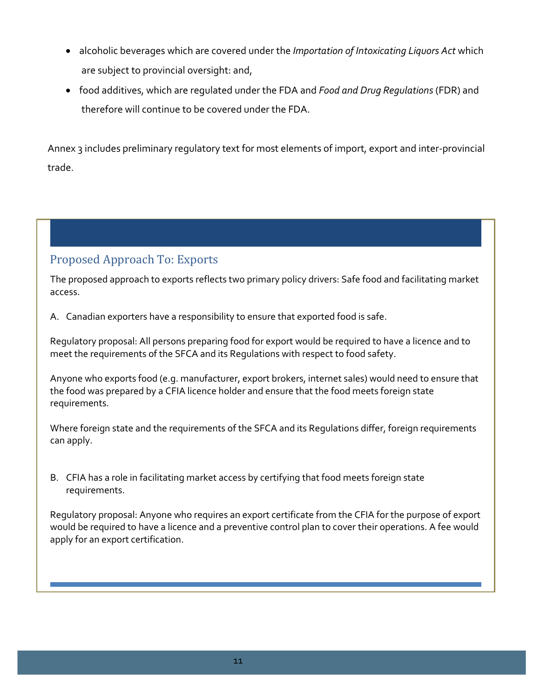- alcoholic beverages which are covered under the *Importation of Intoxicating Liquors Act* which are subject to provincial oversight: and,
- food additives, which are regulated under the FDA and *Food and Drug Regulations* (FDR) and therefore will continue to be covered under the FDA.

Annex 3 includes preliminary regulatory text for most elements of import, export and inter-provincial trade.

# Proposed Approach To: Exports

The proposed approach to exports reflects two primary policy drivers: Safe food and facilitating market access.

A. Canadian exporters have a responsibility to ensure that exported food is safe.

Regulatory proposal: All persons preparing food for export would be required to have a licence and to meet the requirements of the SFCA and its Regulations with respect to food safety.

Anyone who exports food (e.g. manufacturer, export brokers, internet sales) would need to ensure that the food was prepared by a CFIA licence holder and ensure that the food meets foreign state requirements.

Where foreign state and the requirements of the SFCA and its Regulations differ, foreign requirements can apply.

B. CFIA has a role in facilitating market access by certifying that food meets foreign state requirements.

Regulatory proposal: Anyone who requires an export certificate from the CFIA for the purpose of export would be required to have a licence and a preventive control plan to cover their operations. A fee would apply for an export certification.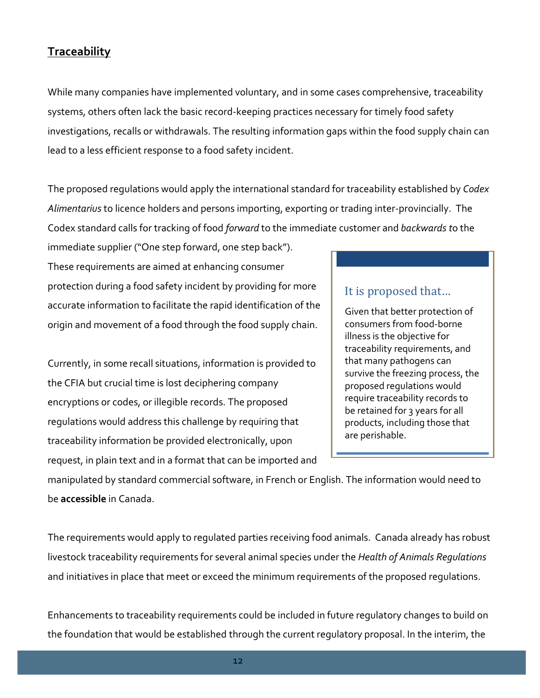# <span id="page-12-0"></span>**Traceability**

While many companies have implemented voluntary, and in some cases comprehensive, traceability systems, others often lack the basic record-keeping practices necessary for timely food safety investigations, recalls or withdrawals. The resulting information gaps within the food supply chain can lead to a less efficient response to a food safety incident.

The proposed regulations would apply the international standard for traceability established by *Codex Alimentarius* to licence holders and persons importing, exporting or trading inter-provincially. The Codex standard calls for tracking of food *forward* to the immediate customer and *backwards t*o the

immediate supplier ("One step forward, one step back"). These requirements are aimed at enhancing consumer protection during a food safety incident by providing for more accurate information to facilitate the rapid identification of the origin and movement of a food through the food supply chain.

Currently, in some recall situations, information is provided to the CFIA but crucial time is lost deciphering company encryptions or codes, or illegible records. The proposed regulations would address this challenge by requiring that traceability information be provided electronically, upon request, in plain text and in a format that can be imported and

# It is proposed that…

Given that better protection of consumers from food-borne illness is the objective for traceability requirements, and that many pathogens can survive the freezing process, the proposed regulations would require traceability records to be retained for 3 years for all products, including those that are perishable.

manipulated by standard commercial software, in French or English. The information would need to be **accessible** in Canada.

The requirements would apply to regulated parties receiving food animals. Canada already has robust livestock traceability requirements for several animal species under the *Health of Animals Regulations*  and initiatives in place that meet or exceed the minimum requirements of the proposed regulations.

Enhancements to traceability requirements could be included in future regulatory changes to build on the foundation that would be established through the current regulatory proposal. In the interim, the

12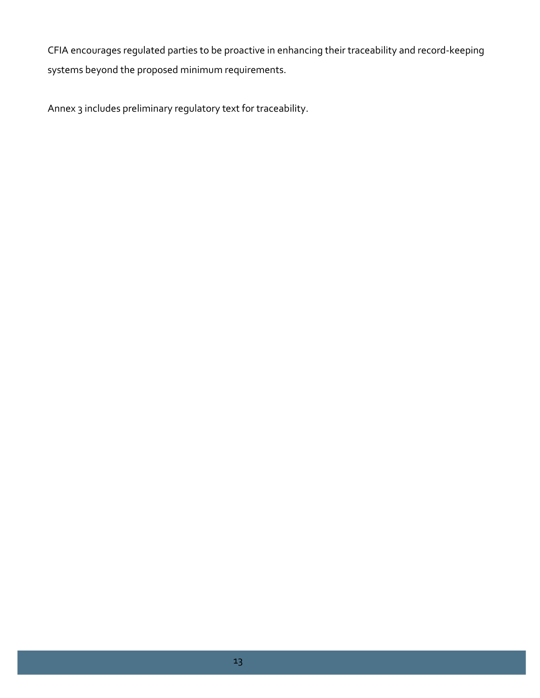CFIA encourages regulated parties to be proactive in enhancing their traceability and record-keeping systems beyond the proposed minimum requirements.

Annex 3 includes preliminary regulatory text for traceability.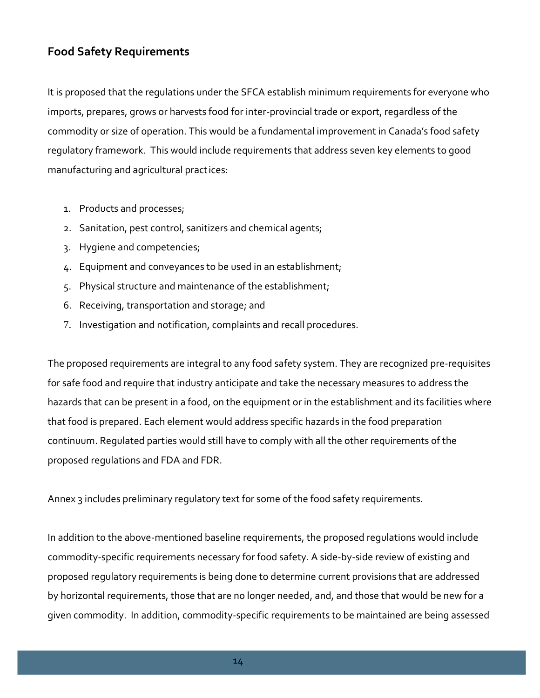# <span id="page-14-0"></span>**Food Safety Requirements**

It is proposed that the regulations under the SFCA establish minimum requirements for everyone who imports, prepares, grows or harvests food for inter-provincial trade or export, regardless of the commodity or size of operation. This would be a fundamental improvement in Canada's food safety regulatory framework. This would include requirements that address seven key elements to good manufacturing and agricultural pract ices:

- 1. Products and processes;
- 2. Sanitation, pest control, sanitizers and chemical agents;
- 3. Hygiene and competencies;
- 4. Equipment and conveyances to be used in an establishment;
- 5. Physical structure and maintenance of the establishment;
- 6. Receiving, transportation and storage; and
- 7. Investigation and notification, complaints and recall procedures.

The proposed requirements are integral to any food safety system. They are recognized pre-requisites for safe food and require that industry anticipate and take the necessary measures to address the hazards that can be present in a food, on the equipment or in the establishment and its facilities where that food is prepared. Each element would address specific hazards in the food preparation continuum. Regulated parties would still have to comply with all the other requirements of the proposed regulations and FDA and FDR.

Annex 3 includes preliminary regulatory text for some of the food safety requirements.

In addition to the above-mentioned baseline requirements, the proposed regulations would include commodity-specific requirements necessary for food safety. A side-by-side review of existing and proposed regulatory requirements is being done to determine current provisions that are addressed by horizontal requirements, those that are no longer needed, and, and those that would be new for a given commodity. In addition, commodity-specific requirements to be maintained are being assessed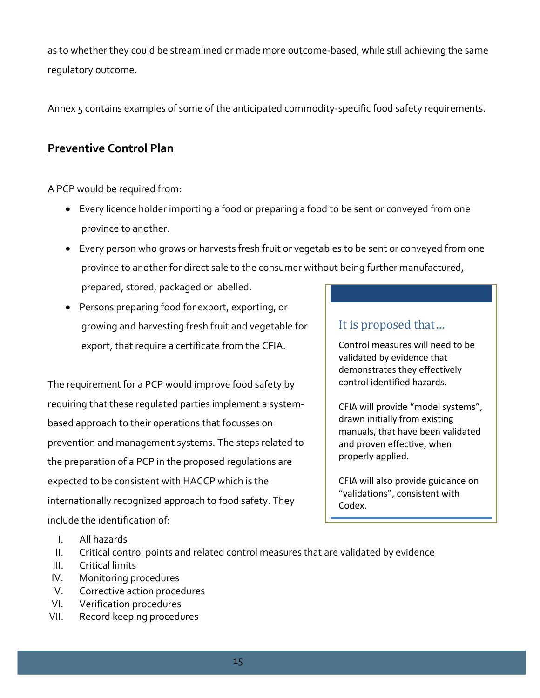as to whether they could be streamlined or made more outcome-based, while still achieving the same regulatory outcome.

Annex 5 contains examples of some of the anticipated commodity-specific food safety requirements.

# <span id="page-15-0"></span>**Preventive Control Plan**

A PCP would be required from:

- Every licence holder importing a food or preparing a food to be sent or conveyed from one province to another.
- Every person who grows or harvests fresh fruit or vegetables to be sent or conveyed from one province to another for direct sale to the consumer without being further manufactured, prepared, stored, packaged or labelled.
- Persons preparing food for export, exporting, or growing and harvesting fresh fruit and vegetable for export, that require a certificate from the CFIA.

The requirement for a PCP would improve food safety by requiring that these regulated parties implement a systembased approach to their operations that focusses on prevention and management systems. The steps related to the preparation of a PCP in the proposed regulations are expected to be consistent with HACCP which is the internationally recognized approach to food safety. They include the identification of:

# It is proposed that…

Control measures will need to be validated by evidence that demonstrates they effectively control identified hazards.

CFIA will provide "model systems", drawn initially from existing manuals, that have been validated and proven effective, when properly applied.

CFIA will also provide guidance on "validations", consistent with Codex.

- I. All hazards
- II. Critical control points and related control measures that are validated by evidence
- III. Critical limits
- IV. Monitoring procedures
- V. Corrective action procedures
- VI. Verification procedures
- VII. Record keeping procedures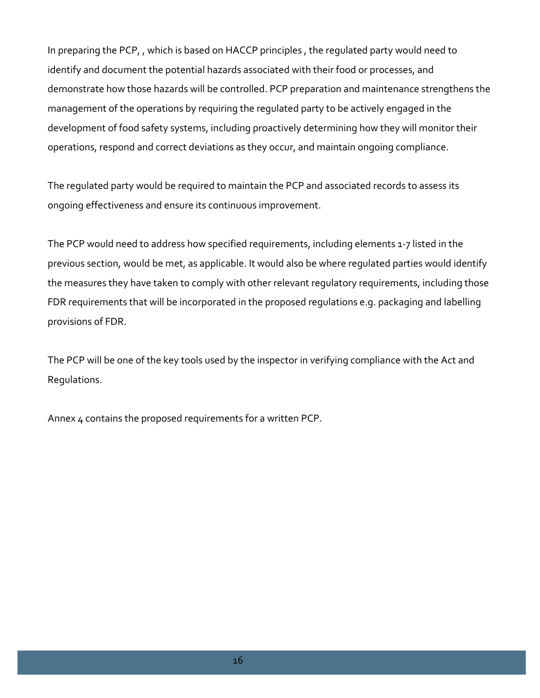In preparing the PCP, , which is based on HACCP principles , the regulated party would need to identify and document the potential hazards associated with their food or processes, and demonstrate how those hazards will be controlled. PCP preparation and maintenance strengthens the management of the operations by requiring the regulated party to be actively engaged in the development of food safety systems, including proactively determining how they will monitor their operations, respond and correct deviations as they occur, and maintain ongoing compliance.

The regulated party would be required to maintain the PCP and associated records to assess its ongoing effectiveness and ensure its continuous improvement.

The PCP would need to address how specified requirements, including elements 1-7 listed in the previous section, would be met, as applicable. It would also be where regulated parties would identify the measures they have taken to comply with other relevant regulatory requirements, including those FDR requirements that will be incorporated in the proposed regulations e.g. packaging and labelling provisions of FDR.

The PCP will be one of the key tools used by the inspector in verifying compliance with the Act and Regulations.

Annex 4 contains the proposed requirements for a written PCP.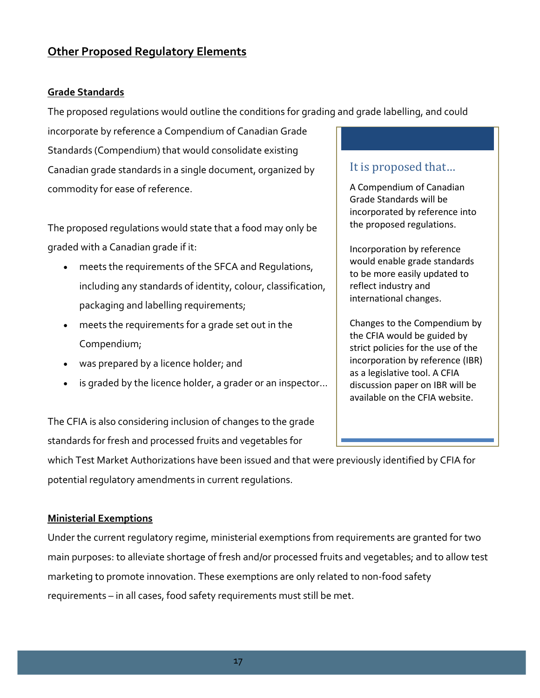# <span id="page-17-0"></span>**Other Proposed Regulatory Elements**

#### <span id="page-17-1"></span>**Grade Standards**

The proposed regulations would outline the conditions for grading and grade labelling, and could

incorporate by reference a Compendium of Canadian Grade Standards (Compendium) that would consolidate existing Canadian grade standards in a single document, organized by commodity for ease of reference.

The proposed regulations would state that a food may only be graded with a Canadian grade if it:

- meets the requirements of the SFCA and Regulations, including any standards of identity, colour, classification, packaging and labelling requirements;
- meets the requirements for a grade set out in the Compendium;
- was prepared by a licence holder; and
- is graded by the licence holder, a grader or an inspector...

The CFIA is also considering inclusion of changes to the grade standards for fresh and processed fruits and vegetables for

which Test Market Authorizations have been issued and that were previously identified by CFIA for potential regulatory amendments in current regulations.

#### <span id="page-17-2"></span>**Ministerial Exemptions**

Under the current regulatory regime, ministerial exemptions from requirements are granted for two main purposes: to alleviate shortage of fresh and/or processed fruits and vegetables; and to allow test marketing to promote innovation. These exemptions are only related to non-food safety requirements – in all cases, food safety requirements must still be met.

# It is proposed that…

A Compendium of Canadian Grade Standards will be incorporated by reference into the proposed regulations.

Incorporation by reference would enable grade standards to be more easily updated to reflect industry and international changes.

Changes to the Compendium by the CFIA would be guided by strict policies for the use of the incorporation by reference (IBR) as a legislative tool. A CFIA discussion paper on IBR will be available on the CFIA website.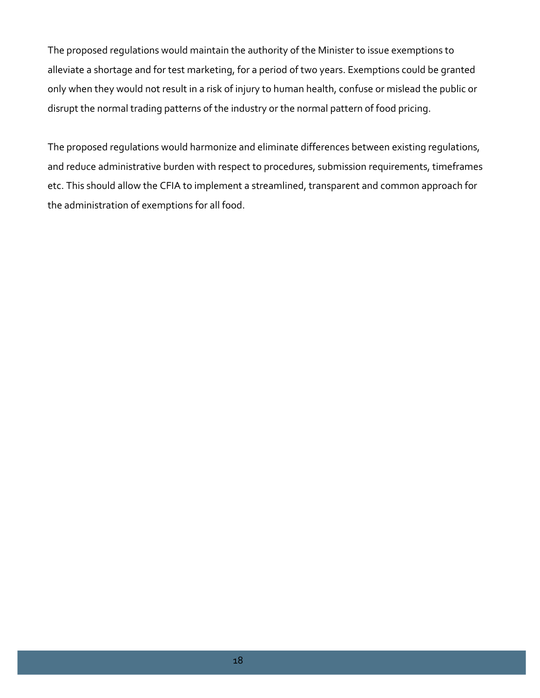The proposed regulations would maintain the authority of the Minister to issue exemptions to alleviate a shortage and for test marketing, for a period of two years. Exemptions could be granted only when they would not result in a risk of injury to human health, confuse or mislead the public or disrupt the normal trading patterns of the industry or the normal pattern of food pricing.

The proposed regulations would harmonize and eliminate differences between existing regulations, and reduce administrative burden with respect to procedures, submission requirements, timeframes etc. This should allow the CFIA to implement a streamlined, transparent and common approach for the administration of exemptions for all food.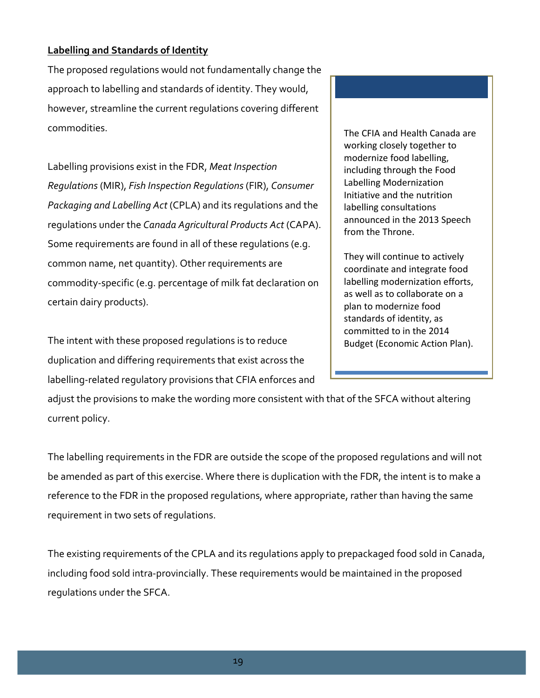### <span id="page-19-0"></span>**Labelling and Standards of Identity**

The proposed regulations would not fundamentally change the approach to labelling and standards of identity. They would, however, streamline the current regulations covering different commodities.

Labelling provisions exist in the FDR, *Meat Inspection Regulations* (MIR), *Fish Inspection Regulations* (FIR), *Consumer Packaging and Labelling Act* (CPLA) and its regulations and the regulations under the *Canada Agricultural Products Act* (CAPA). Some requirements are found in all of these regulations (e.g. common name, net quantity). Other requirements are commodity-specific (e.g. percentage of milk fat declaration on certain dairy products).

The intent with these proposed regulations is to reduce duplication and differing requirements that exist across the labelling-related regulatory provisions that CFIA enforces and

The CFIA and Health Canada are working closely together to modernize food labelling, including through the Food Labelling Modernization Initiative and the nutrition labelling consultations announced in the 2013 Speech from the Throne.

They will continue to actively coordinate and integrate food labelling modernization efforts, as well as to collaborate on a plan to modernize food standards of identity, as committed to in the 2014 Budget (Economic Action Plan).

adjust the provisions to make the wording more consistent with that of the SFCA without altering current policy.

The labelling requirements in the FDR are outside the scope of the proposed regulations and will not be amended as part of this exercise. Where there is duplication with the FDR, the intent is to make a reference to the FDR in the proposed regulations, where appropriate, rather than having the same requirement in two sets of regulations.

The existing requirements of the CPLA and its regulations apply to prepackaged food sold in Canada, including food sold intra-provincially. These requirements would be maintained in the proposed regulations under the SFCA.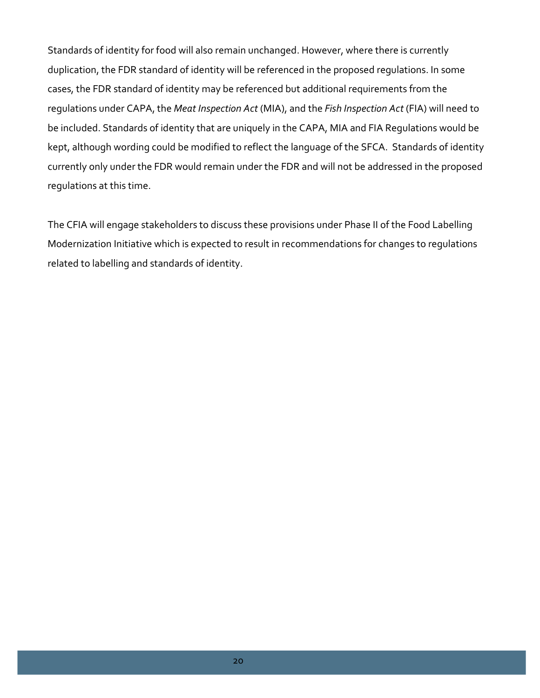Standards of identity for food will also remain unchanged. However, where there is currently duplication, the FDR standard of identity will be referenced in the proposed regulations. In some cases, the FDR standard of identity may be referenced but additional requirements from the regulations under CAPA, the *Meat Inspection Act* (MIA), and the *Fish Inspection Act* (FIA) will need to be included. Standards of identity that are uniquely in the CAPA, MIA and FIA Regulations would be kept, although wording could be modified to reflect the language of the SFCA. Standards of identity currently only under the FDR would remain under the FDR and will not be addressed in the proposed regulations at this time.

The CFIA will engage stakeholders to discuss these provisions under Phase II of the Food Labelling Modernization Initiative which is expected to result in recommendations for changes to regulations related to labelling and standards of identity.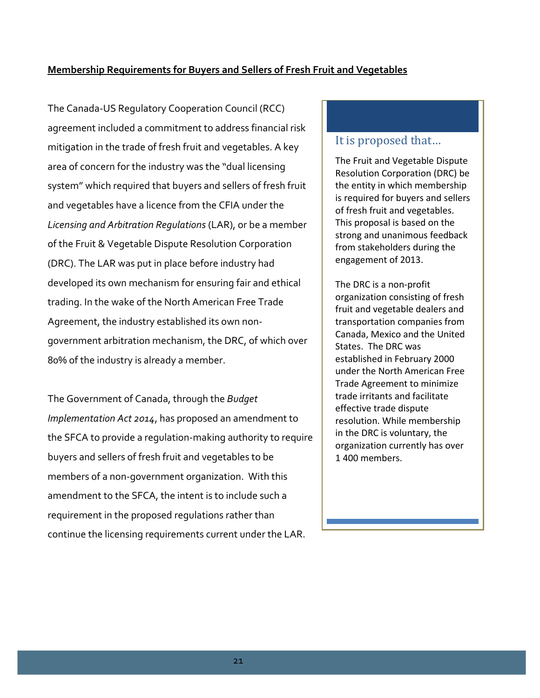#### <span id="page-21-0"></span>**Membership Requirements for Buyers and Sellers of Fresh Fruit and Vegetables**

The Canada-US Regulatory Cooperation Council (RCC) agreement included a commitment to address financial risk mitigation in the trade of fresh fruit and vegetables. A key area of concern for the industry was the "dual licensing system" which required that buyers and sellers of fresh fruit and vegetables have a licence from the CFIA under the *Licensing and Arbitration Regulations* (LAR), or be a member of the Fruit & Vegetable Dispute Resolution Corporation (DRC). The LAR was put in place before industry had developed its own mechanism for ensuring fair and ethical trading. In the wake of the North American Free Trade Agreement, the industry established its own nongovernment arbitration mechanism, the DRC, of which over 80% of the industry is already a member.

The Government of Canada, through the *Budget Implementation Act 2014*, has proposed an amendment to the SFCA to provide a regulation-making authority to require buyers and sellers of fresh fruit and vegetables to be members of a non-government organization. With this amendment to the SFCA, the intent is to include such a requirement in the proposed regulations rather than continue the licensing requirements current under the LAR.

### It is proposed that…

The Fruit and Vegetable Dispute Resolution Corporation (DRC) be the entity in which membership is required for buyers and sellers of fresh fruit and vegetables. This proposal is based on the strong and unanimous feedback from stakeholders during the engagement of 2013.

The DRC is a non-profit organization consisting of fresh fruit and vegetable dealers and transportation companies from Canada, Mexico and the United States. The DRC was established in February 2000 under the North American Free Trade Agreement to minimize trade irritants and facilitate effective trade dispute resolution. While membership in the DRC is voluntary, the organization currently has over 1 400 members.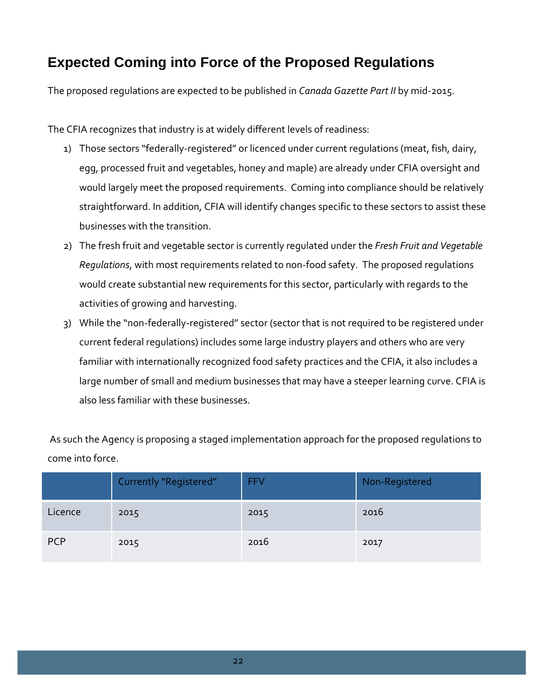# <span id="page-22-0"></span>**Expected Coming into Force of the Proposed Regulations**

The proposed regulations are expected to be published in *Canada Gazette Part II* by mid-2015.

The CFIA recognizes that industry is at widely different levels of readiness:

- 1) Those sectors "federally-registered" or licenced under current regulations (meat, fish, dairy, egg, processed fruit and vegetables, honey and maple) are already under CFIA oversight and would largely meet the proposed requirements. Coming into compliance should be relatively straightforward. In addition, CFIA will identify changes specific to these sectors to assist these businesses with the transition.
- 2) The fresh fruit and vegetable sector is currently regulated under the *Fresh Fruit and Vegetable Regulations*, with most requirements related to non-food safety. The proposed regulations would create substantial new requirements for this sector, particularly with regards to the activities of growing and harvesting.
- 3) While the "non-federally-registered" sector (sector that is not required to be registered under current federal regulations) includes some large industry players and others who are very familiar with internationally recognized food safety practices and the CFIA, it also includes a large number of small and medium businesses that may have a steeper learning curve. CFIA is also less familiar with these businesses.

As such the Agency is proposing a staged implementation approach for the proposed regulations to come into force.

|            | Currently "Registered" | <b>FFV</b> | Non-Registered |
|------------|------------------------|------------|----------------|
| Licence    | 2015                   | 2015       | 2016           |
| <b>PCP</b> | 2015                   | 2016       | 2017           |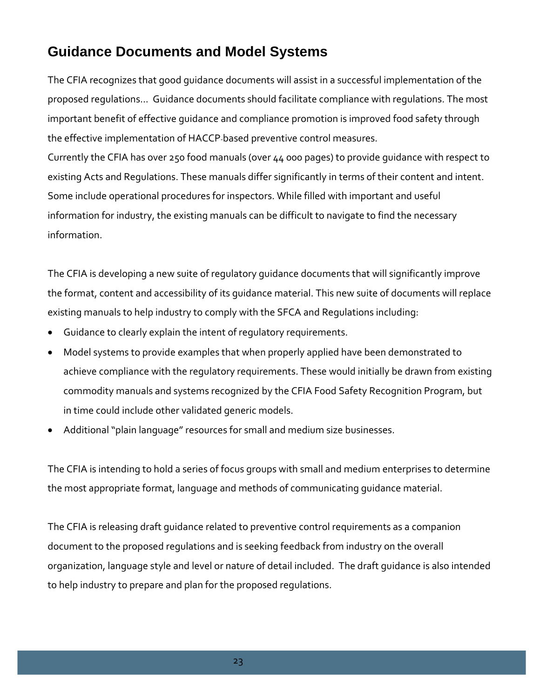# <span id="page-23-0"></span>**Guidance Documents and Model Systems**

The CFIA recognizes that good guidance documents will assist in a successful implementation of the proposed regulations... Guidance documents should facilitate compliance with regulations. The most important benefit of effective guidance and compliance promotion is improved food safety through the effective implementation of HACCP-based preventive control measures. Currently the CFIA has over 250 food manuals (over 44 000 pages) to provide guidance with respect to

existing Acts and Regulations. These manuals differ significantly in terms of their content and intent. Some include operational procedures for inspectors. While filled with important and useful information for industry, the existing manuals can be difficult to navigate to find the necessary information.

The CFIA is developing a new suite of regulatory guidance documents that will significantly improve the format, content and accessibility of its guidance material. This new suite of documents will replace existing manuals to help industry to comply with the SFCA and Regulations including:

- Guidance to clearly explain the intent of regulatory requirements.
- Model systems to provide examples that when properly applied have been demonstrated to achieve compliance with the regulatory requirements. These would initially be drawn from existing commodity manuals and systems recognized by the CFIA Food Safety Recognition Program, but in time could include other validated generic models.
- Additional "plain language" resources for small and medium size businesses.

The CFIA is intending to hold a series of focus groups with small and medium enterprises to determine the most appropriate format, language and methods of communicating guidance material.

The CFIA is releasing draft guidance related to preventive control requirements as a companion document to the proposed regulations and is seeking feedback from industry on the overall organization, language style and level or nature of detail included. The draft guidance is also intended to help industry to prepare and plan for the proposed regulations.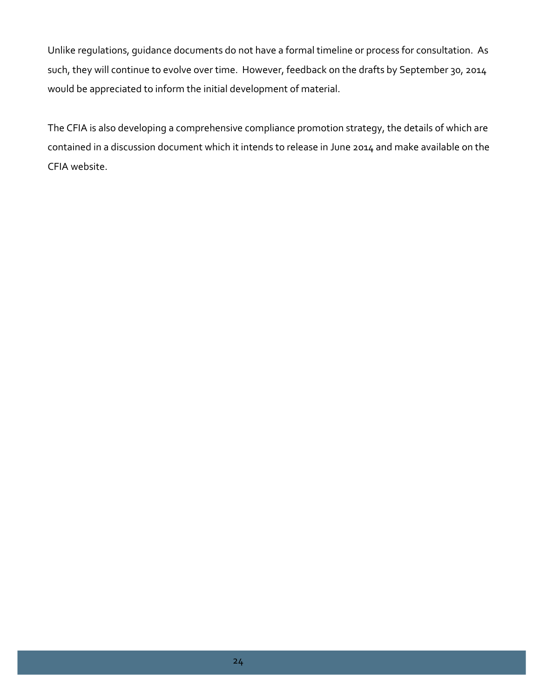Unlike regulations, guidance documents do not have a formal timeline or process for consultation. As such, they will continue to evolve over time. However, feedback on the drafts by September 30, 2014 would be appreciated to inform the initial development of material.

The CFIA is also developing a comprehensive compliance promotion strategy, the details of which are contained in a discussion document which it intends to release in June 2014 and make available on the CFIA website.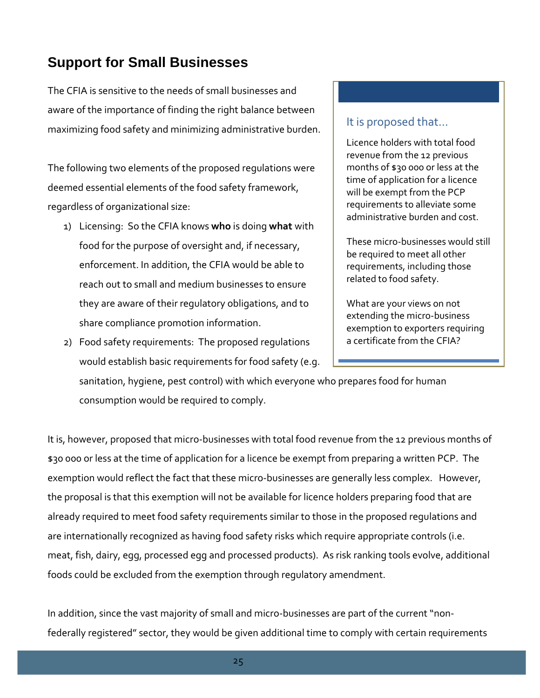# <span id="page-25-0"></span>**Support for Small Businesses**

The CFIA is sensitive to the needs of small businesses and aware of the importance of finding the right balance between maximizing food safety and minimizing administrative burden.

The following two elements of the proposed regulations were deemed essential elements of the food safety framework, regardless of organizational size:

- 1) Licensing: So the CFIA knows **who** is doing **what** with food for the purpose of oversight and, if necessary, enforcement. In addition, the CFIA would be able to reach out to small and medium businesses to ensure they are aware of their regulatory obligations, and to share compliance promotion information.
- 2) Food safety requirements: The proposed regulations would establish basic requirements for food safety (e.g.

It is proposed that…

Licence holders with total food revenue from the 12 previous months of \$30 000 or less at the time of application for a licence will be exempt from the PCP requirements to alleviate some administrative burden and cost.

These micro-businesses would still be required to meet all other requirements, including those related to food safety.

What are your views on not extending the micro-business exemption to exporters requiring a certificate from the CFIA?

sanitation, hygiene, pest control) with which everyone who prepares food for human consumption would be required to comply.

It is, however, proposed that micro-businesses with total food revenue from the 12 previous months of \$30 000 or less at the time of application for a licence be exempt from preparing a written PCP. The exemption would reflect the fact that these micro-businesses are generally less complex. However, the proposal is that this exemption will not be available for licence holders preparing food that are already required to meet food safety requirements similar to those in the proposed regulations and are internationally recognized as having food safety risks which require appropriate controls (i.e. meat, fish, dairy, egg, processed egg and processed products). As risk ranking tools evolve, additional foods could be excluded from the exemption through regulatory amendment.

In addition, since the vast majority of small and micro-businesses are part of the current "nonfederally registered" sector, they would be given additional time to comply with certain requirements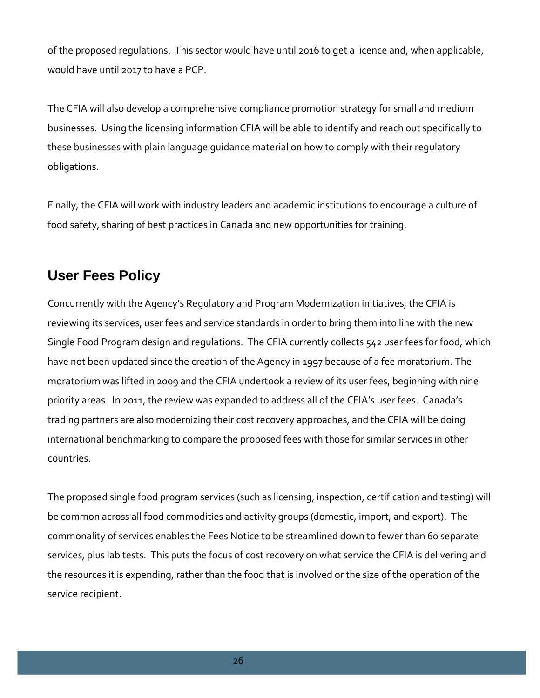of the proposed regulations. This sector would have until 2016 to get a licence and, when applicable, would have until 2017 to have a PCP.

The CFIA will also develop a comprehensive compliance promotion strategy for small and medium businesses. Using the licensing information CFIA will be able to identify and reach out specifically to these businesses with plain language guidance material on how to comply with their regulatory obligations.

Finally, the CFIA will work with industry leaders and academic institutions to encourage a culture of food safety, sharing of best practices in Canada and new opportunities for training.

# <span id="page-26-0"></span>**User Fees Policy**

Concurrently with the Agency's Regulatory and Program Modernization initiatives, the CFIA is reviewing its services, user fees and service standards in order to bring them into line with the new Single Food Program design and regulations. The CFIA currently collects 542 user fees for food, which have not been updated since the creation of the Agency in 1997 because of a fee moratorium. The moratorium was lifted in 2009 and the CFIA undertook a review of its user fees, beginning with nine priority areas. In 2011, the review was expanded to address all of the CFIA's user fees. Canada's trading partners are also modernizing their cost recovery approaches, and the CFIA will be doing international benchmarking to compare the proposed fees with those for similar services in other countries.

The proposed single food program services (such as licensing, inspection, certification and testing) will be common across all food commodities and activity groups (domestic, import, and export). The commonality of services enables the Fees Notice to be streamlined down to fewer than 60 separate services, plus lab tests. This puts the focus of cost recovery on what service the CFIA is delivering and the resources it is expending, rather than the food that is involved or the size of the operation of the service recipient.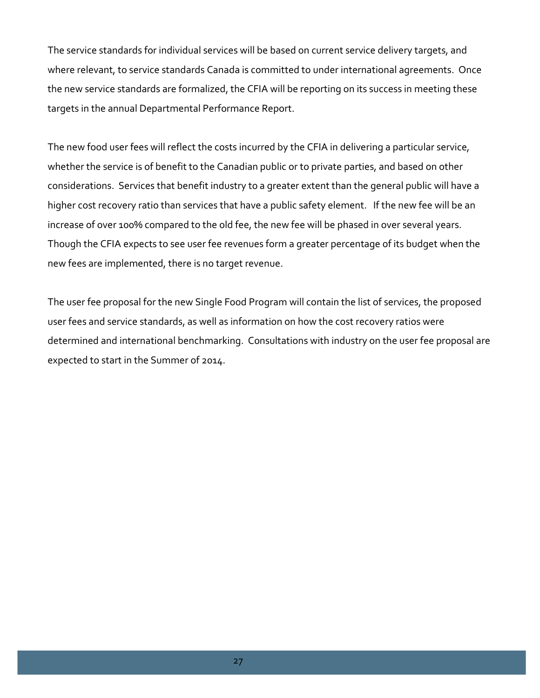The service standards for individual services will be based on current service delivery targets, and where relevant, to service standards Canada is committed to under international agreements. Once the new service standards are formalized, the CFIA will be reporting on its success in meeting these targets in the annual Departmental Performance Report.

The new food user fees will reflect the costs incurred by the CFIA in delivering a particular service, whether the service is of benefit to the Canadian public or to private parties, and based on other considerations. Services that benefit industry to a greater extent than the general public will have a higher cost recovery ratio than services that have a public safety element. If the new fee will be an increase of over 100% compared to the old fee, the new fee will be phased in over several years. Though the CFIA expects to see user fee revenues form a greater percentage of its budget when the new fees are implemented, there is no target revenue.

The user fee proposal for the new Single Food Program will contain the list of services, the proposed user fees and service standards, as well as information on how the cost recovery ratios were determined and international benchmarking. Consultations with industry on the user fee proposal are expected to start in the Summer of 2014.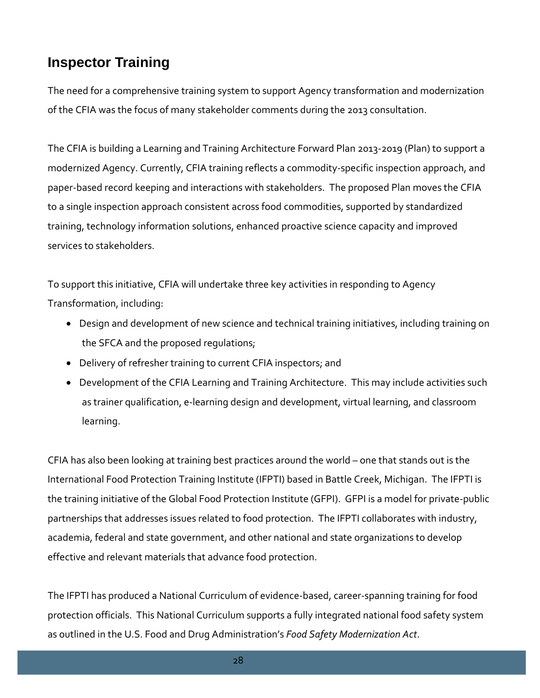# <span id="page-28-0"></span>**Inspector Training**

The need for a comprehensive training system to support Agency transformation and modernization of the CFIA was the focus of many stakeholder comments during the 2013 consultation.

The CFIA is building a Learning and Training Architecture Forward Plan 2013-2019 (Plan) to support a modernized Agency. Currently, CFIA training reflects a commodity-specific inspection approach, and paper-based record keeping and interactions with stakeholders. The proposed Plan moves the CFIA to a single inspection approach consistent across food commodities, supported by standardized training, technology information solutions, enhanced proactive science capacity and improved services to stakeholders.

To support this initiative, CFIA will undertake three key activities in responding to Agency Transformation, including:

- Design and development of new science and technical training initiatives, including training on the SFCA and the proposed regulations;
- Delivery of refresher training to current CFIA inspectors; and
- Development of the CFIA Learning and Training Architecture. This may include activities such as trainer qualification, e-learning design and development, virtual learning, and classroom learning.

CFIA has also been looking at training best practices around the world – one that stands out is the International Food Protection Training Institute (IFPTI) based in Battle Creek, Michigan. The IFPTI is the training initiative of the Global Food Protection Institute (GFPI). GFPI is a model for private-public partnerships that addresses issues related to food protection. The IFPTI collaborates with industry, academia, federal and state government, and other national and state organizations to develop effective and relevant materials that advance food protection.

The IFPTI has produced a National Curriculum of evidence-based, career-spanning training for food protection officials. This National Curriculum supports a fully integrated national food safety system as outlined in the U.S. Food and Drug Administration's *Food Safety Modernization Act*.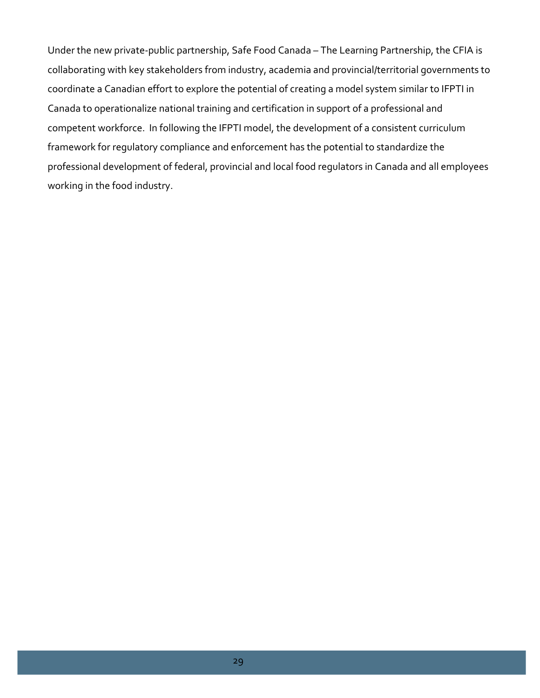Under the new private-public partnership, Safe Food Canada – The Learning Partnership, the CFIA is collaborating with key stakeholders from industry, academia and provincial/territorial governments to coordinate a Canadian effort to explore the potential of creating a model system similar to IFPTI in Canada to operationalize national training and certification in support of a professional and competent workforce. In following the IFPTI model, the development of a consistent curriculum framework for regulatory compliance and enforcement has the potential to standardize the professional development of federal, provincial and local food regulators in Canada and all employees working in the food industry.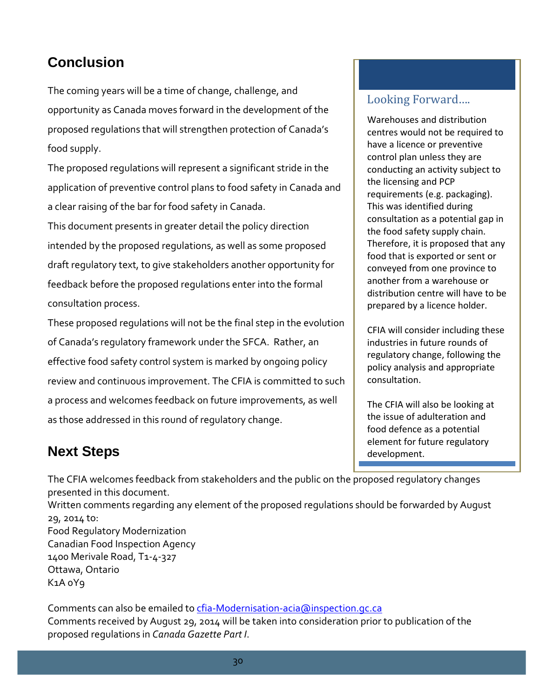# <span id="page-30-0"></span>**Conclusion**

The coming years will be a time of change, challenge, and opportunity as Canada moves forward in the development of the proposed regulations that will strengthen protection of Canada's food supply.

The proposed regulations will represent a significant stride in the application of preventive control plans to food safety in Canada and a clear raising of the bar for food safety in Canada.

This document presents in greater detail the policy direction intended by the proposed regulations, as well as some proposed draft regulatory text, to give stakeholders another opportunity for feedback before the proposed regulations enter into the formal consultation process.

These proposed regulations will not be the final step in the evolution of Canada's regulatory framework under the SFCA. Rather, an effective food safety control system is marked by ongoing policy review and continuous improvement. The CFIA is committed to such a process and welcomes feedback on future improvements, as well as those addressed in this round of regulatory change.

# Looking Forward….

Warehouses and distribution centres would not be required to have a licence or preventive control plan unless they are conducting an activity subject to the licensing and PCP requirements (e.g. packaging). This was identified during consultation as a potential gap in the food safety supply chain. Therefore, it is proposed that any food that is exported or sent or conveyed from one province to another from a warehouse or distribution centre will have to be prepared by a licence holder.

CFIA will consider including these industries in future rounds of regulatory change, following the policy analysis and appropriate consultation.

The CFIA will also be looking at the issue of adulteration and food defence as a potential element for future regulatory development.

# <span id="page-30-1"></span>**Next Steps**

The CFIA welcomes feedback from stakeholders and the public on the proposed regulatory changes presented in this document. Written comments regarding any element of the proposed regulations should be forwarded by August 29, 2014 to: Food Regulatory Modernization Canadian Food Inspection Agency 1400 Merivale Road, T1-4-327 Ottawa, Ontario K1A 0Y9

Comments can also be emailed to [cfia-Modernisation-acia@inspection.gc.ca](mailto:cfia-Modernisation-acia@inspection.gc.ca) Comments received by August 29, 2014 will be taken into consideration prior to publication of the proposed regulations in *Canada Gazette Part I*.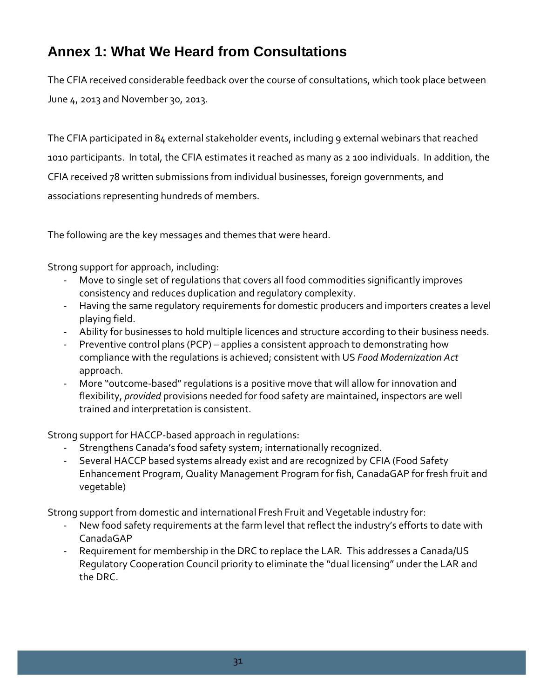# <span id="page-31-0"></span>**Annex 1: What We Heard from Consultations**

The CFIA received considerable feedback over the course of consultations, which took place between June 4, 2013 and November 30, 2013.

The CFIA participated in 84 external stakeholder events, including 9 external webinars that reached 1010 participants. In total, the CFIA estimates it reached as many as 2 100 individuals. In addition, the CFIA received 78 written submissions from individual businesses, foreign governments, and associations representing hundreds of members.

The following are the key messages and themes that were heard.

Strong support for approach, including:

- Move to single set of regulations that covers all food commodities significantly improves consistency and reduces duplication and regulatory complexity.
- Having the same regulatory requirements for domestic producers and importers creates a level playing field.
- Ability for businesses to hold multiple licences and structure according to their business needs.
- Preventive control plans (PCP) applies a consistent approach to demonstrating how compliance with the regulations is achieved; consistent with US *Food Modernization Act* approach.
- More "outcome-based" regulations is a positive move that will allow for innovation and flexibility, *provided* provisions needed for food safety are maintained, inspectors are well trained and interpretation is consistent.

Strong support for HACCP-based approach in regulations:

- Strengthens Canada's food safety system; internationally recognized.
- Several HACCP based systems already exist and are recognized by CFIA (Food Safety Enhancement Program, Quality Management Program for fish, CanadaGAP for fresh fruit and vegetable)

Strong support from domestic and international Fresh Fruit and Vegetable industry for:

- New food safety requirements at the farm level that reflect the industry's efforts to date with CanadaGAP
- Requirement for membership in the DRC to replace the LAR*.* This addresses a Canada/US Regulatory Cooperation Council priority to eliminate the "dual licensing" under the LAR and the DRC.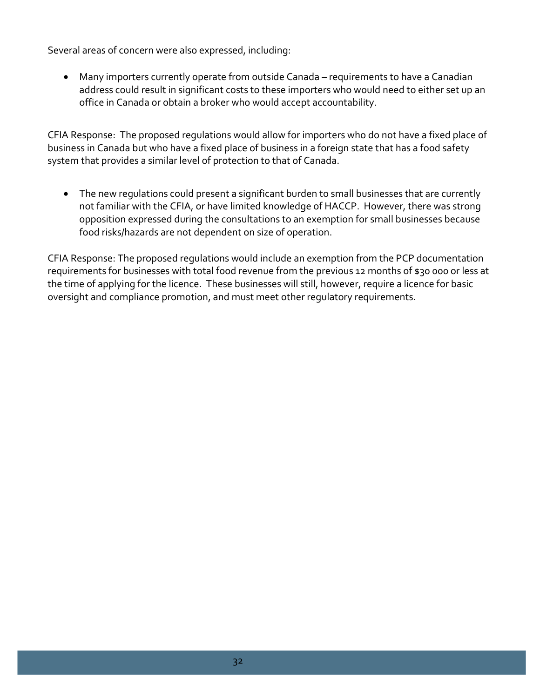Several areas of concern were also expressed, including:

• Many importers currently operate from outside Canada – requirements to have a Canadian address could result in significant costs to these importers who would need to either set up an office in Canada or obtain a broker who would accept accountability.

CFIA Response: The proposed regulations would allow for importers who do not have a fixed place of business in Canada but who have a fixed place of business in a foreign state that has a food safety system that provides a similar level of protection to that of Canada.

• The new regulations could present a significant burden to small businesses that are currently not familiar with the CFIA, or have limited knowledge of HACCP. However, there was strong opposition expressed during the consultations to an exemption for small businesses because food risks/hazards are not dependent on size of operation.

CFIA Response: The proposed regulations would include an exemption from the PCP documentation requirements for businesses with total food revenue from the previous 12 months of \$30 000 or less at the time of applying for the licence. These businesses will still, however, require a licence for basic oversight and compliance promotion, and must meet other regulatory requirements.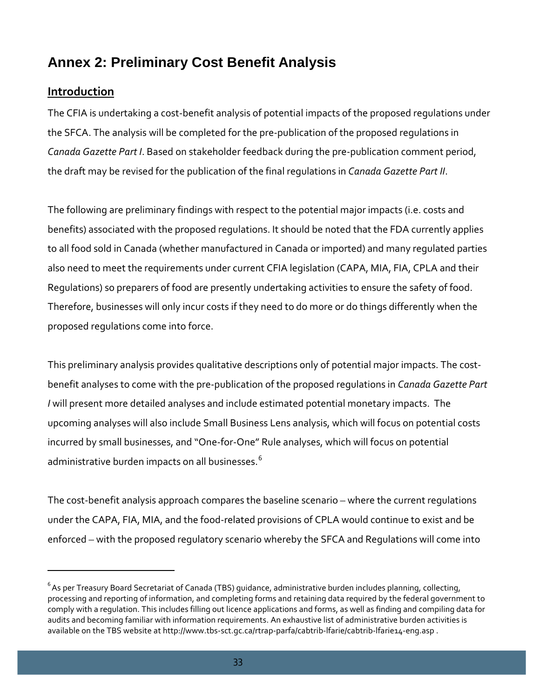# <span id="page-33-0"></span>**Annex 2: Preliminary Cost Benefit Analysis**

## <span id="page-33-1"></span>**Introduction**

l

The CFIA is undertaking a cost-benefit analysis of potential impacts of the proposed regulations under the SFCA. The analysis will be completed for the pre-publication of the proposed regulations in *Canada Gazette Part I*. Based on stakeholder feedback during the pre-publication comment period, the draft may be revised for the publication of the final regulations in *Canada Gazette Part II*.

The following are preliminary findings with respect to the potential major impacts (i.e. costs and benefits) associated with the proposed regulations. It should be noted that the FDA currently applies to all food sold in Canada (whether manufactured in Canada or imported) and many regulated parties also need to meet the requirements under current CFIA legislation (CAPA, MIA, FIA, CPLA and their Regulations) so preparers of food are presently undertaking activities to ensure the safety of food. Therefore, businesses will only incur costs if they need to do more or do things differently when the proposed regulations come into force.

This preliminary analysis provides qualitative descriptions only of potential major impacts. The costbenefit analyses to come with the pre-publication of the proposed regulations in *Canada Gazette Part I* will present more detailed analyses and include estimated potential monetary impacts. The upcoming analyses will also include Small Business Lens analysis, which will focus on potential costs incurred by small businesses, and "One-for-One" Rule analyses, which will focus on potential administrative burden impacts on all businesses.<sup>[6](#page-33-2)</sup>

The cost-benefit analysis approach compares the baseline scenario – where the current regulations under the CAPA, FIA, MIA, and the food-related provisions of CPLA would continue to exist and be enforced – with the proposed regulatory scenario whereby the SFCA and Regulations will come into

<span id="page-33-2"></span> $^6$  As per Treasury Board Secretariat of Canada (TBS) guidance, administrative burden includes planning, collecting, processing and reporting of information, and completing forms and retaining data required by the federal government to comply with a regulation. This includes filling out licence applications and forms, as well as finding and compiling data for audits and becoming familiar with information requirements. An exhaustive list of administrative burden activities is available on the TBS website a[t http://www.tbs-sct.gc.ca/rtrap-parfa/cabtrib-lfarie/cabtrib-lfarie14-eng.asp](http://www.tbs-sct.gc.ca/rtrap-parfa/cabtrib-lfarie/cabtrib-lfarie14-eng.asp).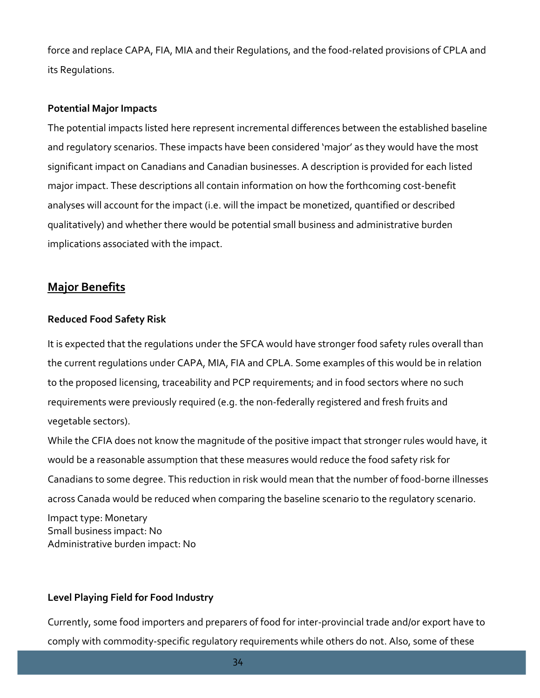force and replace CAPA, FIA, MIA and their Regulations, and the food-related provisions of CPLA and its Regulations.

#### **Potential Major Impacts**

The potential impacts listed here represent incremental differences between the established baseline and regulatory scenarios. These impacts have been considered 'major' as they would have the most significant impact on Canadians and Canadian businesses. A description is provided for each listed major impact. These descriptions all contain information on how the forthcoming cost-benefit analyses will account for the impact (i.e. will the impact be monetized, quantified or described qualitatively) and whether there would be potential small business and administrative burden implications associated with the impact.

# <span id="page-34-0"></span>**Major Benefits**

## **Reduced Food Safety Risk**

It is expected that the regulations under the SFCA would have stronger food safety rules overall than the current regulations under CAPA, MIA, FIA and CPLA. Some examples of this would be in relation to the proposed licensing, traceability and PCP requirements; and in food sectors where no such requirements were previously required (e.g. the non-federally registered and fresh fruits and vegetable sectors).

While the CFIA does not know the magnitude of the positive impact that stronger rules would have, it would be a reasonable assumption that these measures would reduce the food safety risk for Canadians to some degree. This reduction in risk would mean that the number of food-borne illnesses across Canada would be reduced when comparing the baseline scenario to the regulatory scenario.

Impact type: Monetary Small business impact: No Administrative burden impact: No

## **Level Playing Field for Food Industry**

Currently, some food importers and preparers of food for inter-provincial trade and/or export have to comply with commodity-specific regulatory requirements while others do not. Also, some of these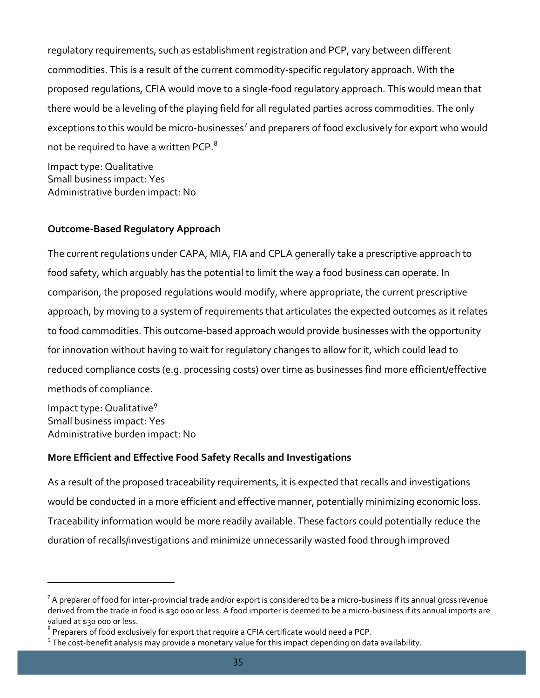regulatory requirements, such as establishment registration and PCP, vary between different commodities. This is a result of the current commodity-specific regulatory approach. With the proposed regulations, CFIA would move to a single-food regulatory approach. This would mean that there would be a leveling of the playing field for all regulated parties across commodities. The only exceptions to this would be micro-businesses<sup>[7](#page-35-0)</sup> and preparers of food exclusively for export who would not be required to have a written PCP.<sup>[8](#page-35-1)</sup>

Impact type: Qualitative Small business impact: Yes Administrative burden impact: No

## **Outcome-Based Regulatory Approach**

The current regulations under CAPA, MIA, FIA and CPLA generally take a prescriptive approach to food safety, which arguably has the potential to limit the way a food business can operate. In comparison, the proposed regulations would modify, where appropriate, the current prescriptive approach, by moving to a system of requirements that articulates the expected outcomes as it relates to food commodities. This outcome-based approach would provide businesses with the opportunity for innovation without having to wait for regulatory changes to allow for it, which could lead to reduced compliance costs (e.g. processing costs) over time as businesses find more efficient/effective methods of compliance.

Impact type: Qualitative*[9](#page-35-2)* Small business impact: Yes Administrative burden impact: No

l

# **More Efficient and Effective Food Safety Recalls and Investigations**

As a result of the proposed traceability requirements, it is expected that recalls and investigations would be conducted in a more efficient and effective manner, potentially minimizing economic loss. Traceability information would be more readily available. These factors could potentially reduce the duration of recalls/investigations and minimize unnecessarily wasted food through improved

<span id="page-35-0"></span> $^7$  A preparer of food for inter-provincial trade and/or export is considered to be a micro-business if its annual gross revenue derived from the trade in food is \$30 000 or less. A food importer is deemed to be a micro-business if its annual imports are valued at \$30 000 or less.

<span id="page-35-1"></span><sup>&</sup>lt;sup>8</sup> Preparers of food exclusively for export that require a CFIA certificate would need a PCP.

<span id="page-35-2"></span> $9$  The cost-benefit analysis may provide a monetary value for this impact depending on data availability.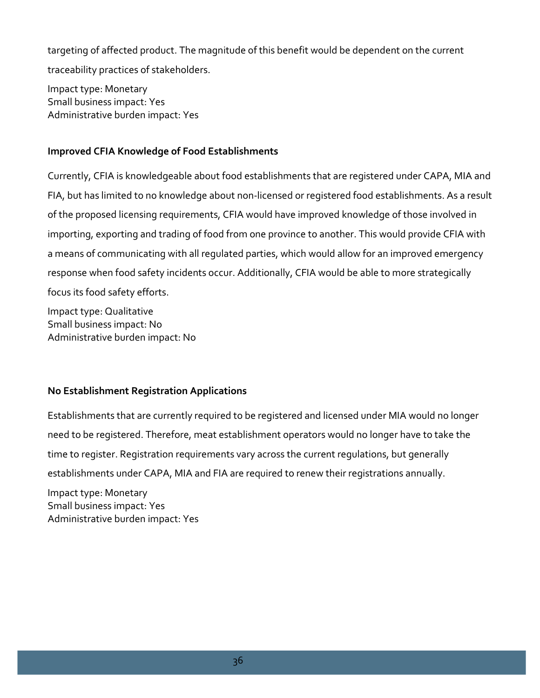targeting of affected product. The magnitude of this benefit would be dependent on the current traceability practices of stakeholders.

Impact type: Monetary Small business impact: Yes Administrative burden impact: Yes

## **Improved CFIA Knowledge of Food Establishments**

Currently, CFIA is knowledgeable about food establishments that are registered under CAPA, MIA and FIA, but has limited to no knowledge about non-licensed or registered food establishments. As a result of the proposed licensing requirements, CFIA would have improved knowledge of those involved in importing, exporting and trading of food from one province to another. This would provide CFIA with a means of communicating with all regulated parties, which would allow for an improved emergency response when food safety incidents occur. Additionally, CFIA would be able to more strategically focus its food safety efforts.

Impact type: Qualitative Small business impact: No Administrative burden impact: No

# **No Establishment Registration Applications**

Establishments that are currently required to be registered and licensed under MIA would no longer need to be registered. Therefore, meat establishment operators would no longer have to take the time to register. Registration requirements vary across the current regulations, but generally establishments under CAPA, MIA and FIA are required to renew their registrations annually.

Impact type: Monetary Small business impact: Yes Administrative burden impact: Yes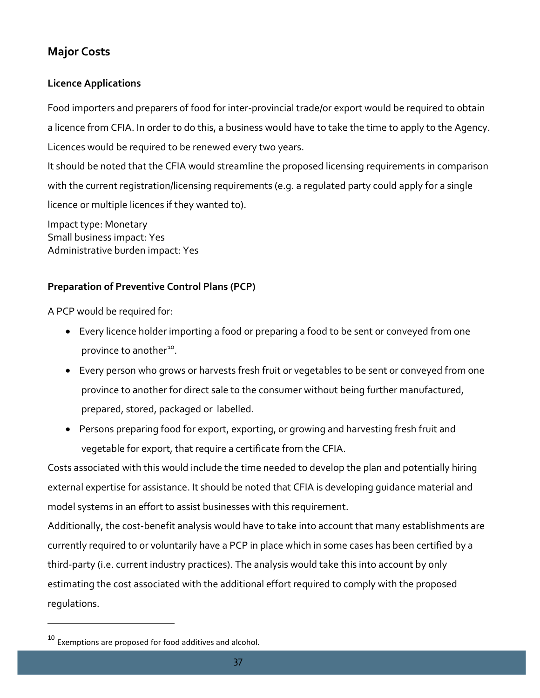# <span id="page-37-0"></span>**Major Costs**

# **Licence Applications**

Food importers and preparers of food for inter-provincial trade/or export would be required to obtain a licence from CFIA. In order to do this, a business would have to take the time to apply to the Agency. Licences would be required to be renewed every two years.

It should be noted that the CFIA would streamline the proposed licensing requirements in comparison with the current registration/licensing requirements (e.g. a regulated party could apply for a single licence or multiple licences if they wanted to).

Impact type: Monetary Small business impact: Yes Administrative burden impact: Yes

# **Preparation of Preventive Control Plans (PCP)**

A PCP would be required for:

- Every licence holder importing a food or preparing a food to be sent or conveyed from one province to another<sup>10</sup>.
- Every person who grows or harvests fresh fruit or vegetables to be sent or conveyed from one province to another for direct sale to the consumer without being further manufactured, prepared, stored, packaged or labelled.
- Persons preparing food for export, exporting, or growing and harvesting fresh fruit and vegetable for export, that require a certificate from the CFIA.

Costs associated with this would include the time needed to develop the plan and potentially hiring external expertise for assistance. It should be noted that CFIA is developing guidance material and model systems in an effort to assist businesses with this requirement.

Additionally, the cost-benefit analysis would have to take into account that many establishments are currently required to or voluntarily have a PCP in place which in some cases has been certified by a third-party (i.e. current industry practices). The analysis would take this into account by only estimating the cost associated with the additional effort required to comply with the proposed regulations.

l

<span id="page-37-1"></span> $10$  Exemptions are proposed for food additives and alcohol.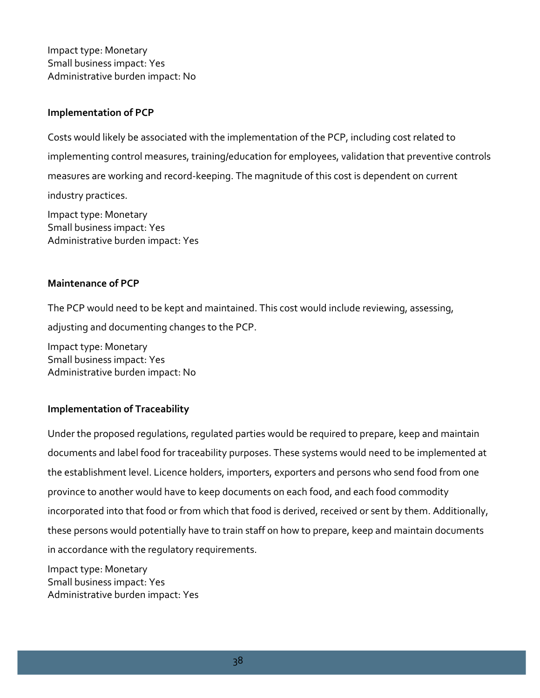Impact type: Monetary Small business impact: Yes Administrative burden impact: No

#### **Implementation of PCP**

Costs would likely be associated with the implementation of the PCP, including cost related to implementing control measures, training/education for employees, validation that preventive controls measures are working and record-keeping. The magnitude of this cost is dependent on current industry practices.

Impact type: Monetary Small business impact: Yes Administrative burden impact: Yes

#### **Maintenance of PCP**

The PCP would need to be kept and maintained. This cost would include reviewing, assessing, adjusting and documenting changes to the PCP.

Impact type: Monetary Small business impact: Yes Administrative burden impact: No

## **Implementation of Traceability**

Under the proposed regulations, regulated parties would be required to prepare, keep and maintain documents and label food for traceability purposes. These systems would need to be implemented at the establishment level. Licence holders, importers, exporters and persons who send food from one province to another would have to keep documents on each food, and each food commodity incorporated into that food or from which that food is derived, received or sent by them. Additionally, these persons would potentially have to train staff on how to prepare, keep and maintain documents in accordance with the regulatory requirements.

Impact type: Monetary Small business impact: Yes Administrative burden impact: Yes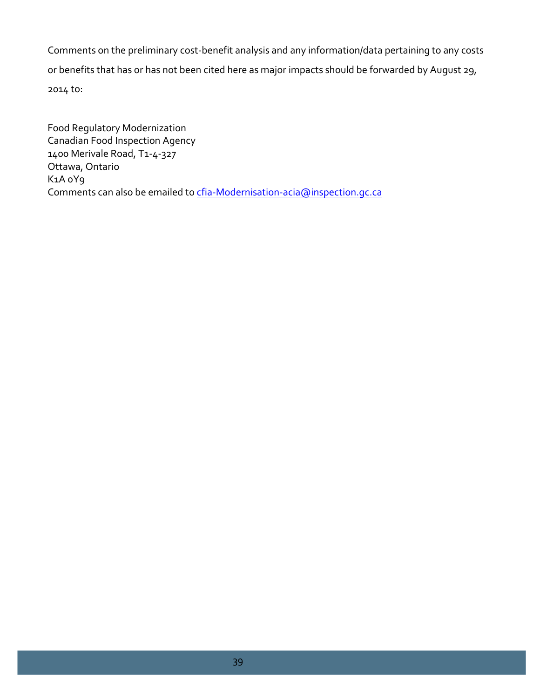Comments on the preliminary cost-benefit analysis and any information/data pertaining to any costs or benefits that has or has not been cited here as major impacts should be forwarded by August 29, 2014 to:

Food Regulatory Modernization Canadian Food Inspection Agency 1400 Merivale Road, T1-4-327 Ottawa, Ontario K1A 0Y9 Comments can also be emailed to cfia-Modernisation-acia@inspection.gc.ca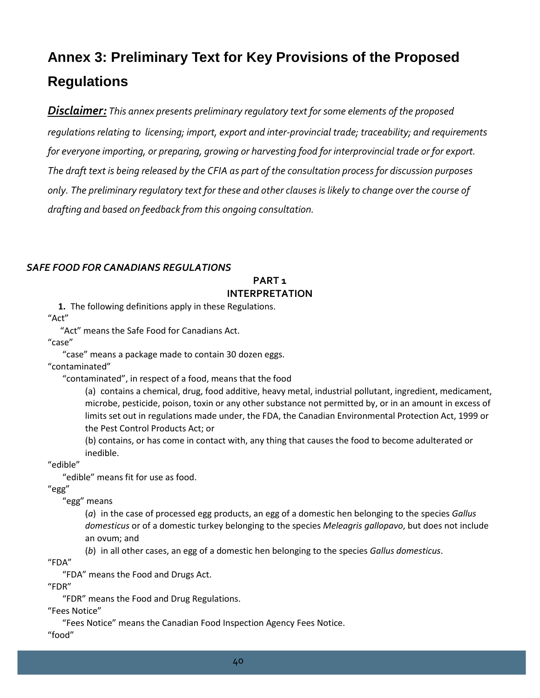# <span id="page-40-0"></span>**Annex 3: Preliminary Text for Key Provisions of the Proposed Regulations**

*Disclaimer: This annex presents preliminary regulatory text for some elements of the proposed regulations relating to licensing; import, export and inter-provincial trade; traceability; and requirements for everyone importing, or preparing, growing or harvesting food for interprovincial trade or for export. The draft text is being released by the CFIA as part of the consultation process for discussion purposes only. The preliminary regulatory text for these and other clauses is likely to change over the course of drafting and based on feedback from this ongoing consultation.*

#### *SAFE FOOD FOR CANADIANS REGULATIONS*

### **PART 1 INTERPRETATION**

**1.** The following definitions apply in these Regulations.

"Act"

"Act" means the Safe Food for Canadians Act.

"case"

"case" means a package made to contain 30 dozen eggs.

"contaminated"

"contaminated", in respect of a food, means that the food

(a) contains a chemical, drug, food additive, heavy metal, industrial pollutant, ingredient, medicament, microbe, pesticide, poison, toxin or any other substance not permitted by, or in an amount in excess of limits set out in regulations made under, the FDA, the Canadian Environmental Protection Act, 1999 or the Pest Control Products Act; or

(b) contains, or has come in contact with, any thing that causes the food to become adulterated or inedible.

"edible"

"edible" means fit for use as food.

"egg"

"egg" means

(*a*) in the case of processed egg products, an egg of a domestic hen belonging to the species *Gallus domesticus* or of a domestic turkey belonging to the species *Meleagris gallopavo*, but does not include an ovum; and

(*b*) in all other cases, an egg of a domestic hen belonging to the species *Gallus domesticus*.

"FDA"

"FDA" means the Food and Drugs Act.

"FDR"

"FDR" means the Food and Drug Regulations.

"Fees Notice"

"Fees Notice" means the Canadian Food Inspection Agency Fees Notice.

"food"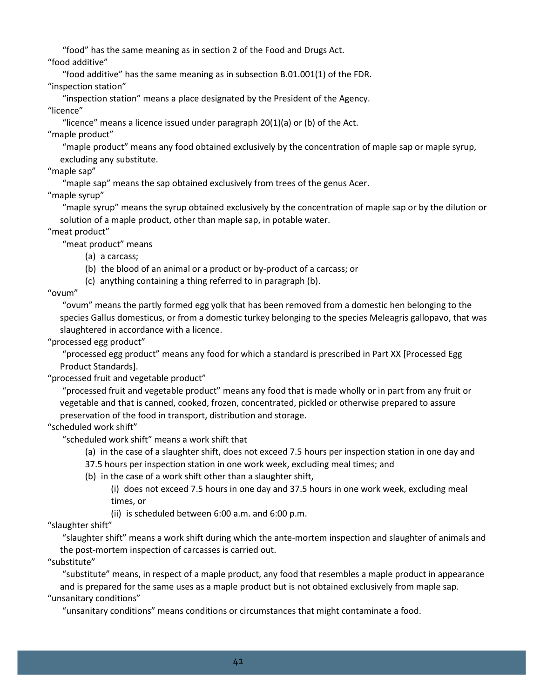"food" has the same meaning as in section 2 of the Food and Drugs Act.

"food additive"

"food additive" has the same meaning as in subsection B.01.001(1) of the FDR.

"inspection station"

"inspection station" means a place designated by the President of the Agency. "licence"

"licence" means a licence issued under paragraph 20(1)(a) or (b) of the Act. "maple product"

"maple product" means any food obtained exclusively by the concentration of maple sap or maple syrup, excluding any substitute.

"maple sap"

"maple sap" means the sap obtained exclusively from trees of the genus Acer.

"maple syrup"

"maple syrup" means the syrup obtained exclusively by the concentration of maple sap or by the dilution or solution of a maple product, other than maple sap, in potable water.

"meat product"

"meat product" means

- (a) a carcass;
- (b) the blood of an animal or a product or by-product of a carcass; or

(c) anything containing a thing referred to in paragraph (b).

"ovum"

"ovum" means the partly formed egg yolk that has been removed from a domestic hen belonging to the species Gallus domesticus, or from a domestic turkey belonging to the species Meleagris gallopavo, that was slaughtered in accordance with a licence.

"processed egg product"

"processed egg product" means any food for which a standard is prescribed in Part XX [Processed Egg Product Standards].

"processed fruit and vegetable product"

"processed fruit and vegetable product" means any food that is made wholly or in part from any fruit or vegetable and that is canned, cooked, frozen, concentrated, pickled or otherwise prepared to assure preservation of the food in transport, distribution and storage.

"scheduled work shift"

"scheduled work shift" means a work shift that

(a) in the case of a slaughter shift, does not exceed 7.5 hours per inspection station in one day and

- 37.5 hours per inspection station in one work week, excluding meal times; and
- (b) in the case of a work shift other than a slaughter shift,

(i) does not exceed 7.5 hours in one day and 37.5 hours in one work week, excluding meal times, or

(ii) is scheduled between 6:00 a.m. and 6:00 p.m.

"slaughter shift"

"slaughter shift" means a work shift during which the ante-mortem inspection and slaughter of animals and the post-mortem inspection of carcasses is carried out.

"substitute"

"substitute" means, in respect of a maple product, any food that resembles a maple product in appearance and is prepared for the same uses as a maple product but is not obtained exclusively from maple sap. "unsanitary conditions"

"unsanitary conditions" means conditions or circumstances that might contaminate a food.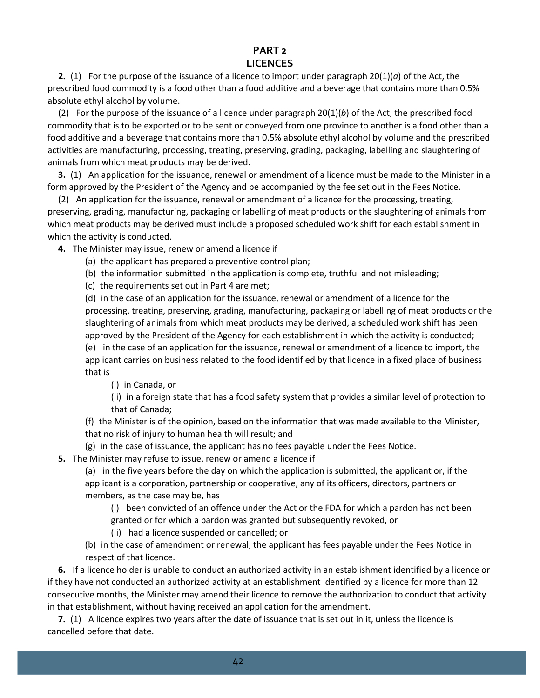#### **PART 2 LICENCES**

**2.** (1) For the purpose of the issuance of a licence to import under paragraph 20(1)(*a*) of the Act, the prescribed food commodity is a food other than a food additive and a beverage that contains more than 0.5% absolute ethyl alcohol by volume.

(2) For the purpose of the issuance of a licence under paragraph 20(1)(*b*) of the Act, the prescribed food commodity that is to be exported or to be sent or conveyed from one province to another is a food other than a food additive and a beverage that contains more than 0.5% absolute ethyl alcohol by volume and the prescribed activities are manufacturing, processing, treating, preserving, grading, packaging, labelling and slaughtering of animals from which meat products may be derived.

**3.** (1) An application for the issuance, renewal or amendment of a licence must be made to the Minister in a form approved by the President of the Agency and be accompanied by the fee set out in the Fees Notice.

(2) An application for the issuance, renewal or amendment of a licence for the processing, treating, preserving, grading, manufacturing, packaging or labelling of meat products or the slaughtering of animals from which meat products may be derived must include a proposed scheduled work shift for each establishment in which the activity is conducted.

**4.** The Minister may issue, renew or amend a licence if

- (a) the applicant has prepared a preventive control plan;
- (b) the information submitted in the application is complete, truthful and not misleading;
- (c) the requirements set out in Part 4 are met;

(d) in the case of an application for the issuance, renewal or amendment of a licence for the processing, treating, preserving, grading, manufacturing, packaging or labelling of meat products or the slaughtering of animals from which meat products may be derived, a scheduled work shift has been approved by the President of the Agency for each establishment in which the activity is conducted; (e) in the case of an application for the issuance, renewal or amendment of a licence to import, the applicant carries on business related to the food identified by that licence in a fixed place of business that is

(i) in Canada, or

(ii) in a foreign state that has a food safety system that provides a similar level of protection to that of Canada;

(f) the Minister is of the opinion, based on the information that was made available to the Minister, that no risk of injury to human health will result; and

(g) in the case of issuance, the applicant has no fees payable under the Fees Notice.

**5.** The Minister may refuse to issue, renew or amend a licence if

(a) in the five years before the day on which the application is submitted, the applicant or, if the applicant is a corporation, partnership or cooperative, any of its officers, directors, partners or members, as the case may be, has

(i) been convicted of an offence under the Act or the FDA for which a pardon has not been

granted or for which a pardon was granted but subsequently revoked, or

(ii) had a licence suspended or cancelled; or

(b) in the case of amendment or renewal, the applicant has fees payable under the Fees Notice in respect of that licence.

**6.** If a licence holder is unable to conduct an authorized activity in an establishment identified by a licence or if they have not conducted an authorized activity at an establishment identified by a licence for more than 12 consecutive months, the Minister may amend their licence to remove the authorization to conduct that activity in that establishment, without having received an application for the amendment.

**7.** (1) A licence expires two years after the date of issuance that is set out in it, unless the licence is cancelled before that date.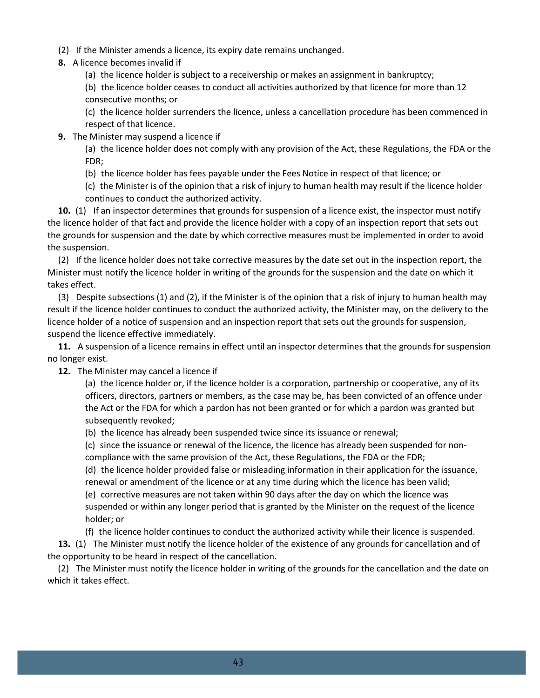- (2) If the Minister amends a licence, its expiry date remains unchanged.
- **8.** A licence becomes invalid if
	- (a) the licence holder is subject to a receivership or makes an assignment in bankruptcy;

(b) the licence holder ceases to conduct all activities authorized by that licence for more than 12 consecutive months; or

(c) the licence holder surrenders the licence, unless a cancellation procedure has been commenced in respect of that licence.

**9.** The Minister may suspend a licence if

(a) the licence holder does not comply with any provision of the Act, these Regulations, the FDA or the FDR;

- (b) the licence holder has fees payable under the Fees Notice in respect of that licence; or
- (c) the Minister is of the opinion that a risk of injury to human health may result if the licence holder continues to conduct the authorized activity.

**10.** (1) If an inspector determines that grounds for suspension of a licence exist, the inspector must notify the licence holder of that fact and provide the licence holder with a copy of an inspection report that sets out the grounds for suspension and the date by which corrective measures must be implemented in order to avoid the suspension.

(2) If the licence holder does not take corrective measures by the date set out in the inspection report, the Minister must notify the licence holder in writing of the grounds for the suspension and the date on which it takes effect.

(3) Despite subsections (1) and (2), if the Minister is of the opinion that a risk of injury to human health may result if the licence holder continues to conduct the authorized activity, the Minister may, on the delivery to the licence holder of a notice of suspension and an inspection report that sets out the grounds for suspension, suspend the licence effective immediately.

**11.** A suspension of a licence remains in effect until an inspector determines that the grounds for suspension no longer exist.

**12.** The Minister may cancel a licence if

(a) the licence holder or, if the licence holder is a corporation, partnership or cooperative, any of its officers, directors, partners or members, as the case may be, has been convicted of an offence under the Act or the FDA for which a pardon has not been granted or for which a pardon was granted but subsequently revoked;

(b) the licence has already been suspended twice since its issuance or renewal;

(c) since the issuance or renewal of the licence, the licence has already been suspended for noncompliance with the same provision of the Act, these Regulations, the FDA or the FDR;

(d) the licence holder provided false or misleading information in their application for the issuance, renewal or amendment of the licence or at any time during which the licence has been valid;

(e) corrective measures are not taken within 90 days after the day on which the licence was suspended or within any longer period that is granted by the Minister on the request of the licence holder; or

(f) the licence holder continues to conduct the authorized activity while their licence is suspended.

**13.** (1) The Minister must notify the licence holder of the existence of any grounds for cancellation and of the opportunity to be heard in respect of the cancellation.

(2) The Minister must notify the licence holder in writing of the grounds for the cancellation and the date on which it takes effect.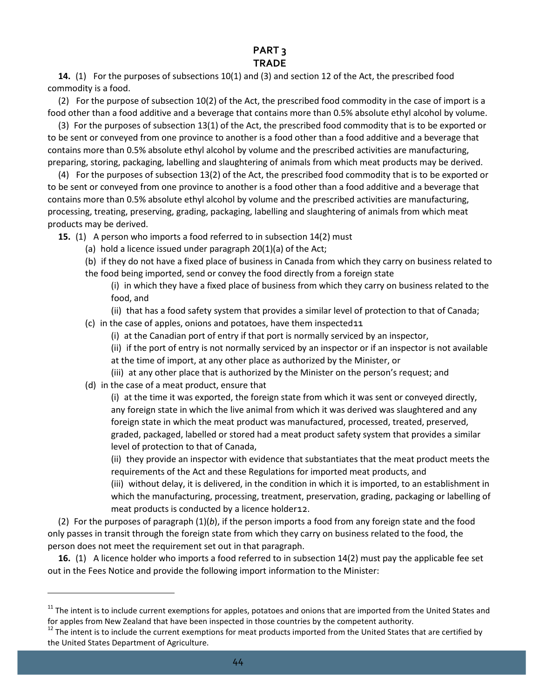# **PART 3**

#### **TRADE**

**14.** (1) For the purposes of subsections 10(1) and (3) and section 12 of the Act, the prescribed food commodity is a food.

(2) For the purpose of subsection 10(2) of the Act, the prescribed food commodity in the case of import is a food other than a food additive and a beverage that contains more than 0.5% absolute ethyl alcohol by volume.

(3) For the purposes of subsection 13(1) of the Act, the prescribed food commodity that is to be exported or to be sent or conveyed from one province to another is a food other than a food additive and a beverage that contains more than 0.5% absolute ethyl alcohol by volume and the prescribed activities are manufacturing, preparing, storing, packaging, labelling and slaughtering of animals from which meat products may be derived.

(4) For the purposes of subsection 13(2) of the Act, the prescribed food commodity that is to be exported or to be sent or conveyed from one province to another is a food other than a food additive and a beverage that contains more than 0.5% absolute ethyl alcohol by volume and the prescribed activities are manufacturing, processing, treating, preserving, grading, packaging, labelling and slaughtering of animals from which meat products may be derived.

**15.** (1) A person who imports a food referred to in subsection 14(2) must

- (a) hold a licence issued under paragraph 20(1)(a) of the Act;
- (b) if they do not have a fixed place of business in Canada from which they carry on business related to
- the food being imported, send or convey the food directly from a foreign state
	- (i) in which they have a fixed place of business from which they carry on business related to the food, and
		- (ii) that has a food safety system that provides a similar level of protection to that of Canada;
- (c) in the case of apples, onions and potatoes, have them inspected[11](#page-44-0)
	- (i) at the Canadian port of entry if that port is normally serviced by an inspector,
	- (ii) if the port of entry is not normally serviced by an inspector or if an inspector is not available at the time of import, at any other place as authorized by the Minister, or
	- (iii) at any other place that is authorized by the Minister on the person's request; and
- (d) in the case of a meat product, ensure that

l

(i) at the time it was exported, the foreign state from which it was sent or conveyed directly, any foreign state in which the live animal from which it was derived was slaughtered and any foreign state in which the meat product was manufactured, processed, treated, preserved, graded, packaged, labelled or stored had a meat product safety system that provides a similar level of protection to that of Canada,

(ii) they provide an inspector with evidence that substantiates that the meat product meets the requirements of the Act and these Regulations for imported meat products, and

(iii) without delay, it is delivered, in the condition in which it is imported, to an establishment in which the manufacturing, processing, treatment, preservation, grading, packaging or labelling of meat products is conducted by a licence holder[12](#page-44-1).

(2) For the purposes of paragraph (1)(*b*), if the person imports a food from any foreign state and the food only passes in transit through the foreign state from which they carry on business related to the food, the person does not meet the requirement set out in that paragraph.

**16.** (1) A licence holder who imports a food referred to in subsection 14(2) must pay the applicable fee set out in the Fees Notice and provide the following import information to the Minister:

<span id="page-44-0"></span><sup>&</sup>lt;sup>11</sup> The intent is to include current exemptions for apples, potatoes and onions that are imported from the United States and for apples from New Zealand that have been inspected in those countries by the competent authority.<br><sup>12</sup> The intent is to include the current exemptions for meat products imported from the United States that are certified

<span id="page-44-1"></span>the United States Department of Agriculture.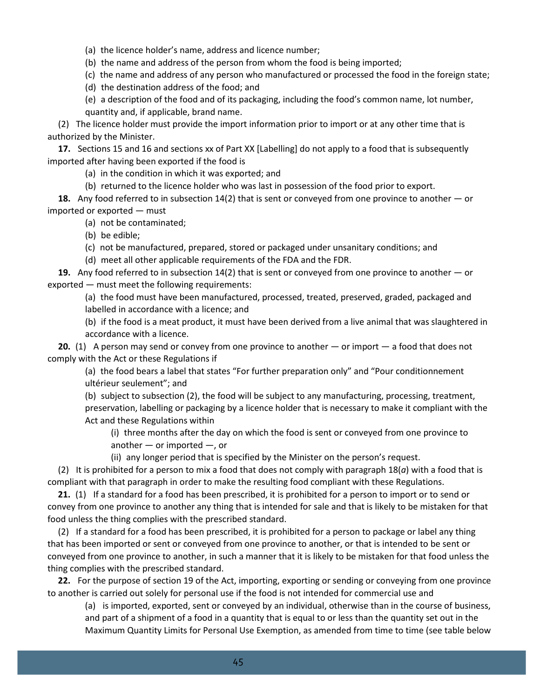(a) the licence holder's name, address and licence number;

(b) the name and address of the person from whom the food is being imported;

(c) the name and address of any person who manufactured or processed the food in the foreign state;

(d) the destination address of the food; and

(e) a description of the food and of its packaging, including the food's common name, lot number, quantity and, if applicable, brand name.

(2) The licence holder must provide the import information prior to import or at any other time that is authorized by the Minister.

**17.** Sections 15 and 16 and sections xx of Part XX [Labelling] do not apply to a food that is subsequently imported after having been exported if the food is

(a) in the condition in which it was exported; and

(b) returned to the licence holder who was last in possession of the food prior to export.

**18.** Any food referred to in subsection 14(2) that is sent or conveyed from one province to another — or imported or exported — must

(a) not be contaminated;

(b) be edible;

- (c) not be manufactured, prepared, stored or packaged under unsanitary conditions; and
- (d) meet all other applicable requirements of the FDA and the FDR.

**19.** Any food referred to in subsection 14(2) that is sent or conveyed from one province to another — or exported — must meet the following requirements:

(a) the food must have been manufactured, processed, treated, preserved, graded, packaged and labelled in accordance with a licence; and

(b) if the food is a meat product, it must have been derived from a live animal that was slaughtered in accordance with a licence.

**20.** (1) A person may send or convey from one province to another — or import — a food that does not comply with the Act or these Regulations if

(a) the food bears a label that states "For further preparation only" and "Pour conditionnement ultérieur seulement"; and

(b) subject to subsection (2), the food will be subject to any manufacturing, processing, treatment, preservation, labelling or packaging by a licence holder that is necessary to make it compliant with the Act and these Regulations within

(i) three months after the day on which the food is sent or conveyed from one province to another — or imported —, or

(ii) any longer period that is specified by the Minister on the person's request.

(2) It is prohibited for a person to mix a food that does not comply with paragraph 18(*a*) with a food that is compliant with that paragraph in order to make the resulting food compliant with these Regulations.

**21.** (1) If a standard for a food has been prescribed, it is prohibited for a person to import or to send or convey from one province to another any thing that is intended for sale and that is likely to be mistaken for that food unless the thing complies with the prescribed standard.

(2) If a standard for a food has been prescribed, it is prohibited for a person to package or label any thing that has been imported or sent or conveyed from one province to another, or that is intended to be sent or conveyed from one province to another, in such a manner that it is likely to be mistaken for that food unless the thing complies with the prescribed standard.

**22.** For the purpose of section 19 of the Act, importing, exporting or sending or conveying from one province to another is carried out solely for personal use if the food is not intended for commercial use and

(a) is imported, exported, sent or conveyed by an individual, otherwise than in the course of business, and part of a shipment of a food in a quantity that is equal to or less than the quantity set out in the Maximum Quantity Limits for Personal Use Exemption, as amended from time to time (see table below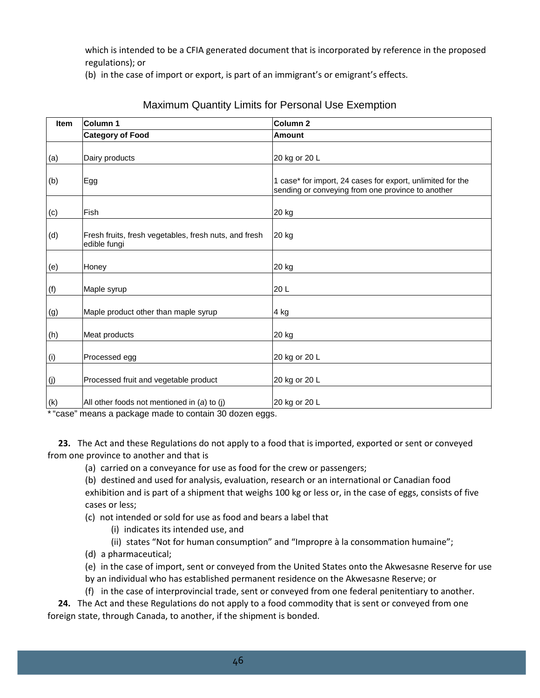which is intended to be a CFIA generated document that is incorporated by reference in the proposed regulations); or

(b) in the case of import or export, is part of an immigrant's or emigrant's effects.

| <b>Item</b> | Column 1                                                              | Column <sub>2</sub>                                                                                             |  |
|-------------|-----------------------------------------------------------------------|-----------------------------------------------------------------------------------------------------------------|--|
|             | <b>Category of Food</b>                                               | <b>Amount</b>                                                                                                   |  |
| (a)         | Dairy products                                                        | 20 kg or 20 L                                                                                                   |  |
| (b)         | Egg                                                                   | 1 case* for import, 24 cases for export, unlimited for the<br>sending or conveying from one province to another |  |
| (c)         | Fish                                                                  | 20 kg                                                                                                           |  |
| (d)         | Fresh fruits, fresh vegetables, fresh nuts, and fresh<br>edible fungi | 20 kg                                                                                                           |  |
| (e)         | Honey                                                                 | 20 kg                                                                                                           |  |
| (f)         | Maple syrup                                                           | 20L                                                                                                             |  |
| (g)         | Maple product other than maple syrup                                  | 4 kg                                                                                                            |  |
| (h)         | Meat products                                                         | 20 kg                                                                                                           |  |
| (i)         | Processed egg                                                         | 20 kg or 20 L                                                                                                   |  |
| (j)         | Processed fruit and vegetable product                                 | 20 kg or 20 L                                                                                                   |  |
| (k)         | All other foods not mentioned in (a) to (j)                           | 20 kg or 20 L                                                                                                   |  |

## Maximum Quantity Limits for Personal Use Exemption

\* "case" means a package made to contain 30 dozen eggs.

**23.** The Act and these Regulations do not apply to a food that is imported, exported or sent or conveyed from one province to another and that is

- (a) carried on a conveyance for use as food for the crew or passengers;
- (b) destined and used for analysis, evaluation, research or an international or Canadian food

exhibition and is part of a shipment that weighs 100 kg or less or, in the case of eggs, consists of five cases or less;

- (c) not intended or sold for use as food and bears a label that
	- (i) indicates its intended use, and
	- (ii) states "Not for human consumption" and "Impropre à la consommation humaine";
- (d) a pharmaceutical;
- (e) in the case of import, sent or conveyed from the United States onto the Akwesasne Reserve for use
- by an individual who has established permanent residence on the Akwesasne Reserve; or

(f) in the case of interprovincial trade, sent or conveyed from one federal penitentiary to another.

**24.** The Act and these Regulations do not apply to a food commodity that is sent or conveyed from one foreign state, through Canada, to another, if the shipment is bonded.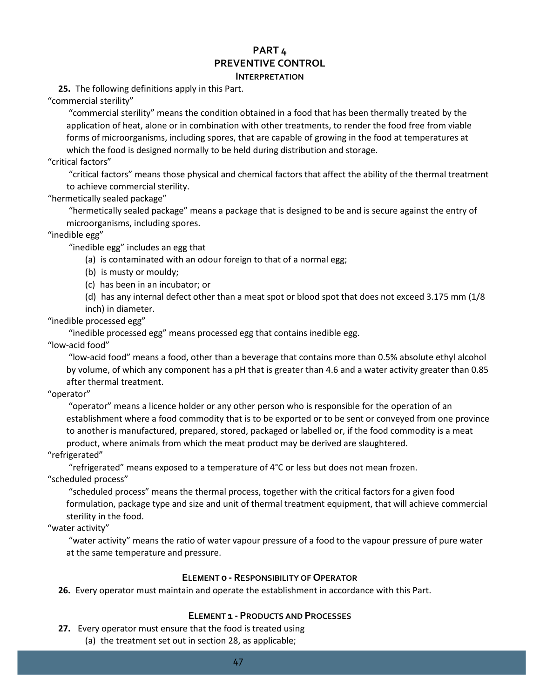#### **PART 4 PREVENTIVE CONTROL INTERPRETATION**

**25.** The following definitions apply in this Part.

"commercial sterility"

"commercial sterility" means the condition obtained in a food that has been thermally treated by the application of heat, alone or in combination with other treatments, to render the food free from viable forms of microorganisms, including spores, that are capable of growing in the food at temperatures at which the food is designed normally to be held during distribution and storage.

"critical factors"

"critical factors" means those physical and chemical factors that affect the ability of the thermal treatment to achieve commercial sterility.

"hermetically sealed package"

"hermetically sealed package" means a package that is designed to be and is secure against the entry of microorganisms, including spores.

"inedible egg"

"inedible egg" includes an egg that

- (a) is contaminated with an odour foreign to that of a normal egg;
- (b) is musty or mouldy;
- (c) has been in an incubator; or

(d) has any internal defect other than a meat spot or blood spot that does not exceed 3.175 mm (1/8 inch) in diameter.

"inedible processed egg"

"inedible processed egg" means processed egg that contains inedible egg.

"low-acid food"

"low-acid food" means a food, other than a beverage that contains more than 0.5% absolute ethyl alcohol by volume, of which any component has a pH that is greater than 4.6 and a water activity greater than 0.85 after thermal treatment.

"operator"

"operator" means a licence holder or any other person who is responsible for the operation of an establishment where a food commodity that is to be exported or to be sent or conveyed from one province to another is manufactured, prepared, stored, packaged or labelled or, if the food commodity is a meat product, where animals from which the meat product may be derived are slaughtered.

"refrigerated"

"refrigerated" means exposed to a temperature of 4°C or less but does not mean frozen. "scheduled process"

"scheduled process" means the thermal process, together with the critical factors for a given food formulation, package type and size and unit of thermal treatment equipment, that will achieve commercial sterility in the food.

"water activity"

"water activity" means the ratio of water vapour pressure of a food to the vapour pressure of pure water at the same temperature and pressure.

#### **ELEMENT 0 - RESPONSIBILITY OF OPERATOR**

**26.** Every operator must maintain and operate the establishment in accordance with this Part.

#### **ELEMENT 1 - PRODUCTS AND PROCESSES**

**27.** Every operator must ensure that the food is treated using

(a) the treatment set out in section 28, as applicable;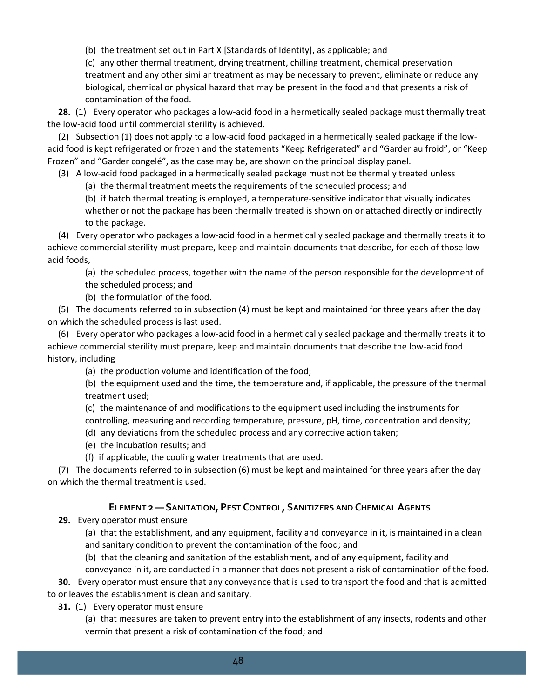(b) the treatment set out in Part X [Standards of Identity], as applicable; and

(c) any other thermal treatment, drying treatment, chilling treatment, chemical preservation treatment and any other similar treatment as may be necessary to prevent, eliminate or reduce any biological, chemical or physical hazard that may be present in the food and that presents a risk of contamination of the food.

**28.** (1) Every operator who packages a low-acid food in a hermetically sealed package must thermally treat the low-acid food until commercial sterility is achieved.

(2) Subsection (1) does not apply to a low-acid food packaged in a hermetically sealed package if the lowacid food is kept refrigerated or frozen and the statements "Keep Refrigerated" and "Garder au froid", or "Keep Frozen" and "Garder congelé", as the case may be, are shown on the principal display panel.

(3) A low-acid food packaged in a hermetically sealed package must not be thermally treated unless

(a) the thermal treatment meets the requirements of the scheduled process; and

(b) if batch thermal treating is employed, a temperature-sensitive indicator that visually indicates whether or not the package has been thermally treated is shown on or attached directly or indirectly to the package.

(4) Every operator who packages a low-acid food in a hermetically sealed package and thermally treats it to achieve commercial sterility must prepare, keep and maintain documents that describe, for each of those lowacid foods,

(a) the scheduled process, together with the name of the person responsible for the development of the scheduled process; and

(b) the formulation of the food.

(5) The documents referred to in subsection (4) must be kept and maintained for three years after the day on which the scheduled process is last used.

(6) Every operator who packages a low-acid food in a hermetically sealed package and thermally treats it to achieve commercial sterility must prepare, keep and maintain documents that describe the low-acid food history, including

(a) the production volume and identification of the food;

(b) the equipment used and the time, the temperature and, if applicable, the pressure of the thermal treatment used;

(c) the maintenance of and modifications to the equipment used including the instruments for

controlling, measuring and recording temperature, pressure, pH, time, concentration and density;

(d) any deviations from the scheduled process and any corrective action taken;

(e) the incubation results; and

(f) if applicable, the cooling water treatments that are used.

(7) The documents referred to in subsection (6) must be kept and maintained for three years after the day on which the thermal treatment is used.

#### **ELEMENT 2 — SANITATION, PEST CONTROL, SANITIZERS AND CHEMICAL AGENTS**

**29.** Every operator must ensure

(a) that the establishment, and any equipment, facility and conveyance in it, is maintained in a clean and sanitary condition to prevent the contamination of the food; and

(b) that the cleaning and sanitation of the establishment, and of any equipment, facility and

conveyance in it, are conducted in a manner that does not present a risk of contamination of the food.

**30.** Every operator must ensure that any conveyance that is used to transport the food and that is admitted to or leaves the establishment is clean and sanitary.

**31.** (1) Every operator must ensure

(a) that measures are taken to prevent entry into the establishment of any insects, rodents and other vermin that present a risk of contamination of the food; and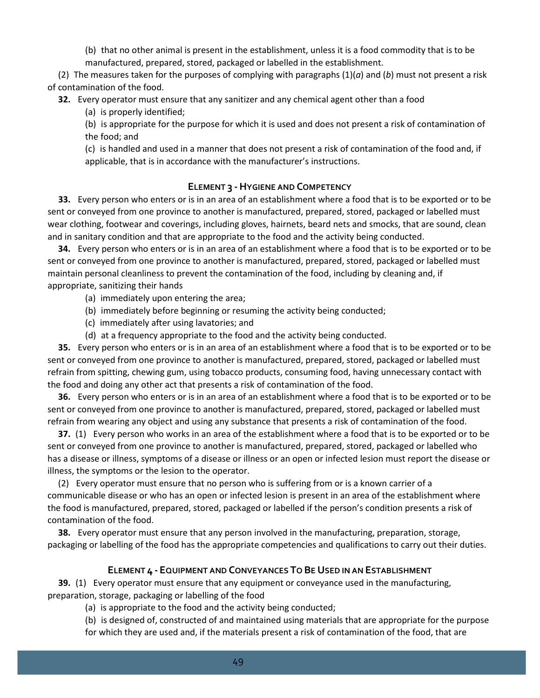(b) that no other animal is present in the establishment, unless it is a food commodity that is to be manufactured, prepared, stored, packaged or labelled in the establishment.

(2) The measures taken for the purposes of complying with paragraphs (1)(*a*) and (*b*) must not present a risk of contamination of the food.

**32.** Every operator must ensure that any sanitizer and any chemical agent other than a food

(a) is properly identified;

(b) is appropriate for the purpose for which it is used and does not present a risk of contamination of the food; and

(c) is handled and used in a manner that does not present a risk of contamination of the food and, if applicable, that is in accordance with the manufacturer's instructions.

#### **ELEMENT 3 -HYGIENE AND COMPETENCY**

**33.** Every person who enters or is in an area of an establishment where a food that is to be exported or to be sent or conveyed from one province to another is manufactured, prepared, stored, packaged or labelled must wear clothing, footwear and coverings, including gloves, hairnets, beard nets and smocks, that are sound, clean and in sanitary condition and that are appropriate to the food and the activity being conducted.

**34.** Every person who enters or is in an area of an establishment where a food that is to be exported or to be sent or conveyed from one province to another is manufactured, prepared, stored, packaged or labelled must maintain personal cleanliness to prevent the contamination of the food, including by cleaning and, if appropriate, sanitizing their hands

- (a) immediately upon entering the area;
- (b) immediately before beginning or resuming the activity being conducted;
- (c) immediately after using lavatories; and
- (d) at a frequency appropriate to the food and the activity being conducted.

**35.** Every person who enters or is in an area of an establishment where a food that is to be exported or to be sent or conveyed from one province to another is manufactured, prepared, stored, packaged or labelled must refrain from spitting, chewing gum, using tobacco products, consuming food, having unnecessary contact with the food and doing any other act that presents a risk of contamination of the food.

**36.** Every person who enters or is in an area of an establishment where a food that is to be exported or to be sent or conveyed from one province to another is manufactured, prepared, stored, packaged or labelled must refrain from wearing any object and using any substance that presents a risk of contamination of the food.

**37.** (1) Every person who works in an area of the establishment where a food that is to be exported or to be sent or conveyed from one province to another is manufactured, prepared, stored, packaged or labelled who has a disease or illness, symptoms of a disease or illness or an open or infected lesion must report the disease or illness, the symptoms or the lesion to the operator.

(2) Every operator must ensure that no person who is suffering from or is a known carrier of a communicable disease or who has an open or infected lesion is present in an area of the establishment where the food is manufactured, prepared, stored, packaged or labelled if the person's condition presents a risk of contamination of the food.

**38.** Every operator must ensure that any person involved in the manufacturing, preparation, storage, packaging or labelling of the food has the appropriate competencies and qualifications to carry out their duties.

## **ELEMENT 4 - EQUIPMENT AND CONVEYANCES TO BE USED IN AN ESTABLISHMENT**

**39.** (1) Every operator must ensure that any equipment or conveyance used in the manufacturing, preparation, storage, packaging or labelling of the food

(a) is appropriate to the food and the activity being conducted;

(b) is designed of, constructed of and maintained using materials that are appropriate for the purpose for which they are used and, if the materials present a risk of contamination of the food, that are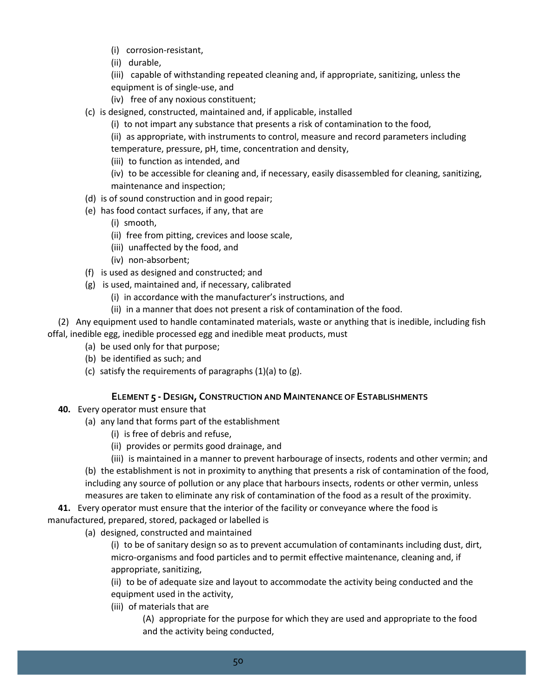- (i) corrosion-resistant,
- (ii) durable,
- (iii) capable of withstanding repeated cleaning and, if appropriate, sanitizing, unless the
- equipment is of single-use, and
- (iv) free of any noxious constituent;
- (c) is designed, constructed, maintained and, if applicable, installed
	- (i) to not impart any substance that presents a risk of contamination to the food,
	- (ii) as appropriate, with instruments to control, measure and record parameters including temperature, pressure, pH, time, concentration and density,
	- (iii) to function as intended, and
	- (iv) to be accessible for cleaning and, if necessary, easily disassembled for cleaning, sanitizing,
	- maintenance and inspection;
- (d) is of sound construction and in good repair;
- (e) has food contact surfaces, if any, that are
	- (i) smooth,
	- (ii) free from pitting, crevices and loose scale,
	- (iii) unaffected by the food, and
	- (iv) non-absorbent;
- (f) is used as designed and constructed; and
- (g) is used, maintained and, if necessary, calibrated
	- (i) in accordance with the manufacturer's instructions, and
	- (ii) in a manner that does not present a risk of contamination of the food.

(2) Any equipment used to handle contaminated materials, waste or anything that is inedible, including fish offal, inedible egg, inedible processed egg and inedible meat products, must

- (a) be used only for that purpose;
- (b) be identified as such; and
- (c) satisfy the requirements of paragraphs (1)(a) to (g).

#### **ELEMENT 5 -DESIGN, CONSTRUCTION AND MAINTENANCE OF ESTABLISHMENTS**

- **40.** Every operator must ensure that
	- (a) any land that forms part of the establishment
		- (i) is free of debris and refuse,
		- (ii) provides or permits good drainage, and
		- (iii) is maintained in a manner to prevent harbourage of insects, rodents and other vermin; and

(b) the establishment is not in proximity to anything that presents a risk of contamination of the food, including any source of pollution or any place that harbours insects, rodents or other vermin, unless

measures are taken to eliminate any risk of contamination of the food as a result of the proximity.

**41.** Every operator must ensure that the interior of the facility or conveyance where the food is manufactured, prepared, stored, packaged or labelled is

(a) designed, constructed and maintained

(i) to be of sanitary design so as to prevent accumulation of contaminants including dust, dirt, micro-organisms and food particles and to permit effective maintenance, cleaning and, if appropriate, sanitizing,

(ii) to be of adequate size and layout to accommodate the activity being conducted and the equipment used in the activity,

(iii) of materials that are

(A) appropriate for the purpose for which they are used and appropriate to the food and the activity being conducted,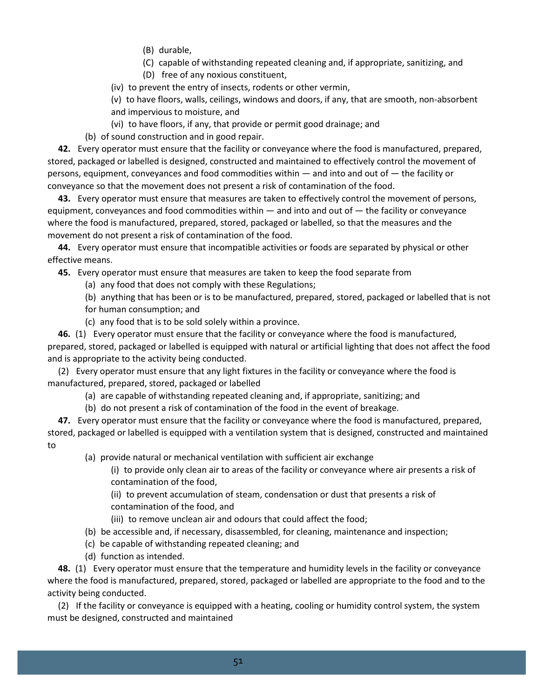- (B) durable,
- (C) capable of withstanding repeated cleaning and, if appropriate, sanitizing, and
- (D) free of any noxious constituent,

(iv) to prevent the entry of insects, rodents or other vermin,

(v) to have floors, walls, ceilings, windows and doors, if any, that are smooth, non-absorbent and impervious to moisture, and

(vi) to have floors, if any, that provide or permit good drainage; and

(b) of sound construction and in good repair.

**42.** Every operator must ensure that the facility or conveyance where the food is manufactured, prepared, stored, packaged or labelled is designed, constructed and maintained to effectively control the movement of persons, equipment, conveyances and food commodities within — and into and out of — the facility or conveyance so that the movement does not present a risk of contamination of the food.

**43.** Every operator must ensure that measures are taken to effectively control the movement of persons, equipment, conveyances and food commodities within — and into and out of — the facility or conveyance where the food is manufactured, prepared, stored, packaged or labelled, so that the measures and the movement do not present a risk of contamination of the food.

**44.** Every operator must ensure that incompatible activities or foods are separated by physical or other effective means.

**45.** Every operator must ensure that measures are taken to keep the food separate from

(a) any food that does not comply with these Regulations;

(b) anything that has been or is to be manufactured, prepared, stored, packaged or labelled that is not for human consumption; and

(c) any food that is to be sold solely within a province.

**46.** (1) Every operator must ensure that the facility or conveyance where the food is manufactured,

prepared, stored, packaged or labelled is equipped with natural or artificial lighting that does not affect the food and is appropriate to the activity being conducted.

(2) Every operator must ensure that any light fixtures in the facility or conveyance where the food is manufactured, prepared, stored, packaged or labelled

- (a) are capable of withstanding repeated cleaning and, if appropriate, sanitizing; and
- (b) do not present a risk of contamination of the food in the event of breakage.

**47.** Every operator must ensure that the facility or conveyance where the food is manufactured, prepared, stored, packaged or labelled is equipped with a ventilation system that is designed, constructed and maintained to

- (a) provide natural or mechanical ventilation with sufficient air exchange
	- (i) to provide only clean air to areas of the facility or conveyance where air presents a risk of contamination of the food,

(ii) to prevent accumulation of steam, condensation or dust that presents a risk of contamination of the food, and

(iii) to remove unclean air and odours that could affect the food;

- (b) be accessible and, if necessary, disassembled, for cleaning, maintenance and inspection;
- (c) be capable of withstanding repeated cleaning; and
- (d) function as intended.

**48.** (1) Every operator must ensure that the temperature and humidity levels in the facility or conveyance where the food is manufactured, prepared, stored, packaged or labelled are appropriate to the food and to the activity being conducted.

(2) If the facility or conveyance is equipped with a heating, cooling or humidity control system, the system must be designed, constructed and maintained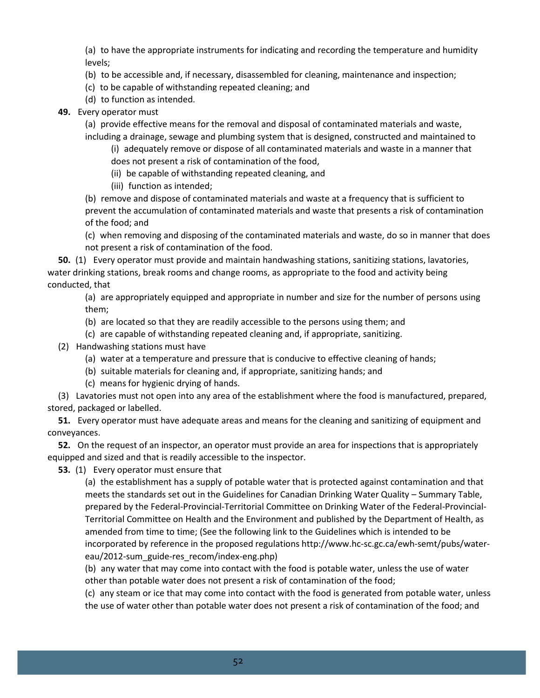(a) to have the appropriate instruments for indicating and recording the temperature and humidity levels;

- (b) to be accessible and, if necessary, disassembled for cleaning, maintenance and inspection;
- (c) to be capable of withstanding repeated cleaning; and
- (d) to function as intended.
- **49.** Every operator must

(a) provide effective means for the removal and disposal of contaminated materials and waste, including a drainage, sewage and plumbing system that is designed, constructed and maintained to

(i) adequately remove or dispose of all contaminated materials and waste in a manner that does not present a risk of contamination of the food,

- (ii) be capable of withstanding repeated cleaning, and
- (iii) function as intended;

(b) remove and dispose of contaminated materials and waste at a frequency that is sufficient to prevent the accumulation of contaminated materials and waste that presents a risk of contamination of the food; and

(c) when removing and disposing of the contaminated materials and waste, do so in manner that does not present a risk of contamination of the food.

**50.** (1) Every operator must provide and maintain handwashing stations, sanitizing stations, lavatories, water drinking stations, break rooms and change rooms, as appropriate to the food and activity being conducted, that

(a) are appropriately equipped and appropriate in number and size for the number of persons using them;

- (b) are located so that they are readily accessible to the persons using them; and
- (c) are capable of withstanding repeated cleaning and, if appropriate, sanitizing.
- (2) Handwashing stations must have
	- (a) water at a temperature and pressure that is conducive to effective cleaning of hands;
	- (b) suitable materials for cleaning and, if appropriate, sanitizing hands; and
	- (c) means for hygienic drying of hands.

(3) Lavatories must not open into any area of the establishment where the food is manufactured, prepared, stored, packaged or labelled.

**51.** Every operator must have adequate areas and means for the cleaning and sanitizing of equipment and conveyances.

**52.** On the request of an inspector, an operator must provide an area for inspections that is appropriately equipped and sized and that is readily accessible to the inspector.

**53.** (1) Every operator must ensure that

(a) the establishment has a supply of potable water that is protected against contamination and that meets the standards set out in the Guidelines for Canadian Drinking Water Quality – Summary Table, prepared by the Federal-Provincial-Territorial Committee on Drinking Water of the Federal-Provincial-Territorial Committee on Health and the Environment and published by the Department of Health, as amended from time to time; (See the following link to the Guidelines which is intended to be incorporated by reference in the proposed regulations http://www.hc-sc.gc.ca/ewh-semt/pubs/watereau/2012-sum\_guide-res\_recom/index-eng.php)

(b) any water that may come into contact with the food is potable water, unless the use of water other than potable water does not present a risk of contamination of the food;

(c) any steam or ice that may come into contact with the food is generated from potable water, unless the use of water other than potable water does not present a risk of contamination of the food; and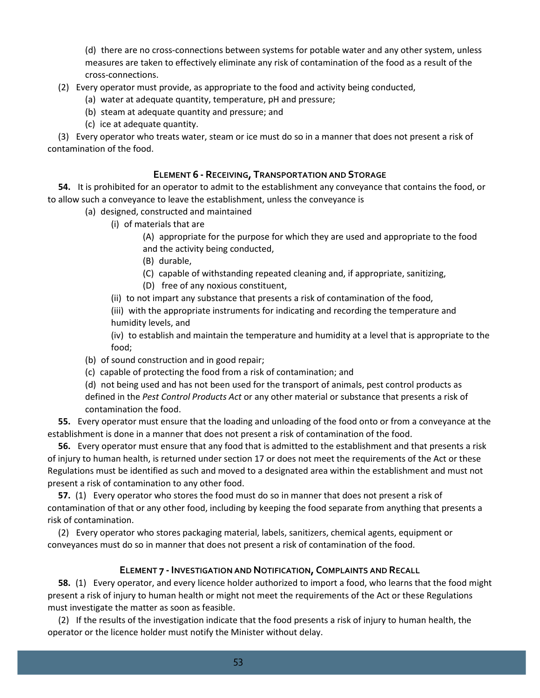(d) there are no cross-connections between systems for potable water and any other system, unless measures are taken to effectively eliminate any risk of contamination of the food as a result of the cross-connections.

- (2) Every operator must provide, as appropriate to the food and activity being conducted,
	- (a) water at adequate quantity, temperature, pH and pressure;
	- (b) steam at adequate quantity and pressure; and
	- (c) ice at adequate quantity.

(3) Every operator who treats water, steam or ice must do so in a manner that does not present a risk of contamination of the food.

#### **ELEMENT 6 - RECEIVING, TRANSPORTATION AND STORAGE**

**54.** It is prohibited for an operator to admit to the establishment any conveyance that contains the food, or to allow such a conveyance to leave the establishment, unless the conveyance is

- (a) designed, constructed and maintained
	- (i) of materials that are

(A) appropriate for the purpose for which they are used and appropriate to the food and the activity being conducted,

- (B) durable,
- (C) capable of withstanding repeated cleaning and, if appropriate, sanitizing,
- (D) free of any noxious constituent,
- (ii) to not impart any substance that presents a risk of contamination of the food,
- (iii) with the appropriate instruments for indicating and recording the temperature and humidity levels, and

(iv) to establish and maintain the temperature and humidity at a level that is appropriate to the food;

- (b) of sound construction and in good repair;
- (c) capable of protecting the food from a risk of contamination; and

(d) not being used and has not been used for the transport of animals, pest control products as defined in the *Pest Control Products Act* or any other material or substance that presents a risk of contamination the food.

**55.** Every operator must ensure that the loading and unloading of the food onto or from a conveyance at the establishment is done in a manner that does not present a risk of contamination of the food.

**56.** Every operator must ensure that any food that is admitted to the establishment and that presents a risk of injury to human health, is returned under section 17 or does not meet the requirements of the Act or these Regulations must be identified as such and moved to a designated area within the establishment and must not present a risk of contamination to any other food.

**57.** (1) Every operator who stores the food must do so in manner that does not present a risk of contamination of that or any other food, including by keeping the food separate from anything that presents a risk of contamination.

(2) Every operator who stores packaging material, labels, sanitizers, chemical agents, equipment or conveyances must do so in manner that does not present a risk of contamination of the food.

#### **ELEMENT 7 -INVESTIGATION AND NOTIFICATION, COMPLAINTS AND RECALL**

**58.** (1) Every operator, and every licence holder authorized to import a food, who learns that the food might present a risk of injury to human health or might not meet the requirements of the Act or these Regulations must investigate the matter as soon as feasible.

(2) If the results of the investigation indicate that the food presents a risk of injury to human health, the operator or the licence holder must notify the Minister without delay.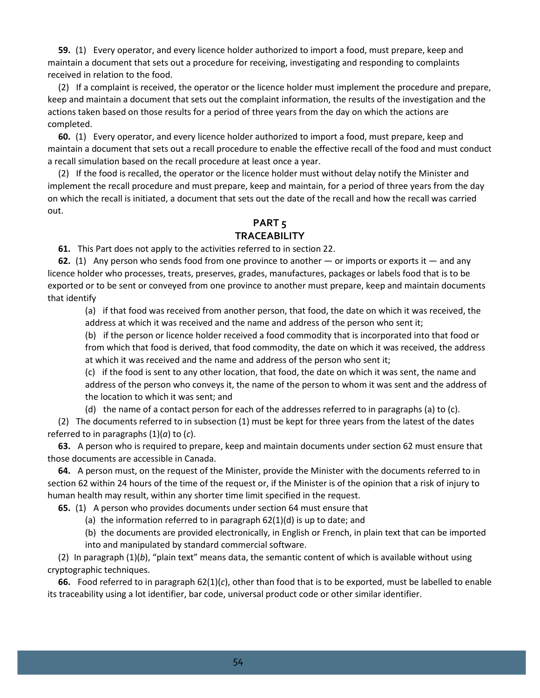**59.** (1) Every operator, and every licence holder authorized to import a food, must prepare, keep and maintain a document that sets out a procedure for receiving, investigating and responding to complaints received in relation to the food.

(2) If a complaint is received, the operator or the licence holder must implement the procedure and prepare, keep and maintain a document that sets out the complaint information, the results of the investigation and the actions taken based on those results for a period of three years from the day on which the actions are completed.

**60.** (1) Every operator, and every licence holder authorized to import a food, must prepare, keep and maintain a document that sets out a recall procedure to enable the effective recall of the food and must conduct a recall simulation based on the recall procedure at least once a year.

(2) If the food is recalled, the operator or the licence holder must without delay notify the Minister and implement the recall procedure and must prepare, keep and maintain, for a period of three years from the day on which the recall is initiated, a document that sets out the date of the recall and how the recall was carried out.

# **PART 5 TRACEABILITY**

**61.** This Part does not apply to the activities referred to in section 22.

**62.** (1) Any person who sends food from one province to another — or imports or exports it — and any licence holder who processes, treats, preserves, grades, manufactures, packages or labels food that is to be exported or to be sent or conveyed from one province to another must prepare, keep and maintain documents that identify

(a) if that food was received from another person, that food, the date on which it was received, the address at which it was received and the name and address of the person who sent it;

(b) if the person or licence holder received a food commodity that is incorporated into that food or from which that food is derived, that food commodity, the date on which it was received, the address at which it was received and the name and address of the person who sent it;

(c) if the food is sent to any other location, that food, the date on which it was sent, the name and address of the person who conveys it, the name of the person to whom it was sent and the address of the location to which it was sent; and

(d) the name of a contact person for each of the addresses referred to in paragraphs (a) to (c).

(2) The documents referred to in subsection (1) must be kept for three years from the latest of the dates referred to in paragraphs (1)(*a*) to (*c*).

**63.** A person who is required to prepare, keep and maintain documents under section 62 must ensure that those documents are accessible in Canada.

**64.** A person must, on the request of the Minister, provide the Minister with the documents referred to in section 62 within 24 hours of the time of the request or, if the Minister is of the opinion that a risk of injury to human health may result, within any shorter time limit specified in the request.

**65.** (1) A person who provides documents under section 64 must ensure that

(a) the information referred to in paragraph 62(1)(d) is up to date; and

(b) the documents are provided electronically, in English or French, in plain text that can be imported into and manipulated by standard commercial software.

(2) In paragraph (1)(*b*), "plain text" means data, the semantic content of which is available without using cryptographic techniques.

**66.** Food referred to in paragraph 62(1)(*c*), other than food that is to be exported, must be labelled to enable its traceability using a lot identifier, bar code, universal product code or other similar identifier.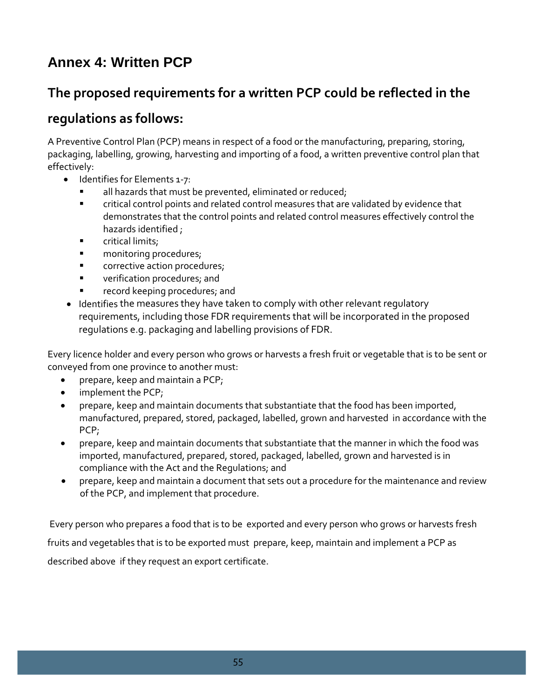# <span id="page-55-0"></span>**Annex 4: Written PCP**

# **The proposed requirements for a written PCP could be reflected in the**

# **regulations as follows:**

A Preventive Control Plan (PCP) means in respect of a food or the manufacturing, preparing, storing, packaging, labelling, growing, harvesting and importing of a food, a written preventive control plan that effectively:

- Identifies for Elements 1-7:
	- all hazards that must be prevented, eliminated or reduced;
	- critical control points and related control measures that are validated by evidence that demonstrates that the control points and related control measures effectively control the hazards identified ;
	- **Exercitical limits;**
	- **n** monitoring procedures;
	- **CORTAGE CORPORT CORPORT CORPORT**
	- **u** verification procedures; and
	- record keeping procedures; and
- Identifies the measures they have taken to comply with other relevant regulatory requirements, including those FDR requirements that will be incorporated in the proposed regulations e.g. packaging and labelling provisions of FDR.

Every licence holder and every person who grows or harvests a fresh fruit or vegetable that is to be sent or conveyed from one province to another must:

- prepare, keep and maintain a PCP;
- implement the PCP;
- prepare, keep and maintain documents that substantiate that the food has been imported, manufactured, prepared, stored, packaged, labelled, grown and harvested in accordance with the PCP;
- prepare, keep and maintain documents that substantiate that the manner in which the food was imported, manufactured, prepared, stored, packaged, labelled, grown and harvested is in compliance with the Act and the Regulations; and
- prepare, keep and maintain a document that sets out a procedure for the maintenance and review of the PCP, and implement that procedure.

Every person who prepares a food that is to be exported and every person who grows or harvests fresh fruits and vegetables that is to be exported must prepare, keep, maintain and implement a PCP as described above if they request an export certificate.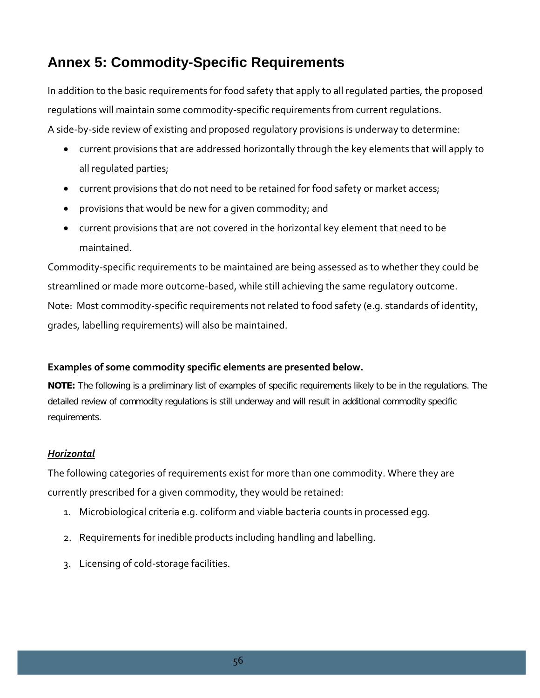# <span id="page-56-0"></span>**Annex 5: Commodity-Specific Requirements**

In addition to the basic requirements for food safety that apply to all regulated parties, the proposed regulations will maintain some commodity-specific requirements from current regulations.

A side-by-side review of existing and proposed regulatory provisions is underway to determine:

- current provisions that are addressed horizontally through the key elements that will apply to all regulated parties;
- current provisions that do not need to be retained for food safety or market access;
- provisions that would be new for a given commodity; and
- current provisions that are not covered in the horizontal key element that need to be maintained.

Commodity-specific requirements to be maintained are being assessed as to whether they could be streamlined or made more outcome-based, while still achieving the same regulatory outcome. Note: Most commodity-specific requirements not related to food safety (e.g. standards of identity, grades, labelling requirements) will also be maintained.

## **Examples of some commodity specific elements are presented below.**

**NOTE:** The following is a preliminary list of examples of specific requirements likely to be in the regulations. The detailed review of commodity regulations is still underway and will result in additional commodity specific requirements.

## *Horizontal*

The following categories of requirements exist for more than one commodity. Where they are currently prescribed for a given commodity, they would be retained:

- 1. Microbiological criteria e.g. coliform and viable bacteria counts in processed egg.
- 2. Requirements for inedible products including handling and labelling.
- 3. Licensing of cold-storage facilities.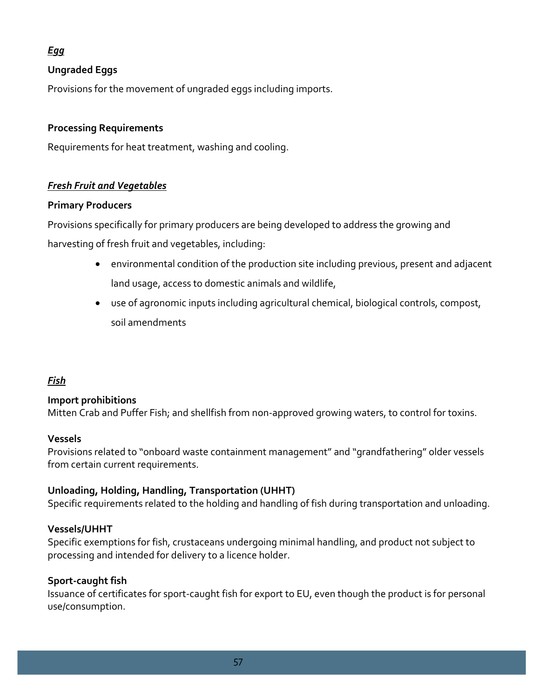# *Egg*

# **Ungraded Eggs**

Provisions for the movement of ungraded eggs including imports.

## **Processing Requirements**

Requirements for heat treatment, washing and cooling.

## *Fresh Fruit and Vegetables*

## **Primary Producers**

Provisions specifically for primary producers are being developed to address the growing and harvesting of fresh fruit and vegetables, including:

- environmental condition of the production site including previous, present and adjacent land usage, access to domestic animals and wildlife,
- use of agronomic inputs including agricultural chemical, biological controls, compost, soil amendments

# *Fish*

# **Import prohibitions**

Mitten Crab and Puffer Fish; and shellfish from non-approved growing waters, to control for toxins.

## **Vessels**

Provisions related to "onboard waste containment management" and "grandfathering" older vessels from certain current requirements.

## **Unloading, Holding, Handling, Transportation (UHHT)**

Specific requirements related to the holding and handling of fish during transportation and unloading.

## **Vessels/UHHT**

Specific exemptions for fish, crustaceans undergoing minimal handling, and product not subject to processing and intended for delivery to a licence holder.

## **Sport-caught fish**

Issuance of certificates for sport-caught fish for export to EU, even though the product is for personal use/consumption.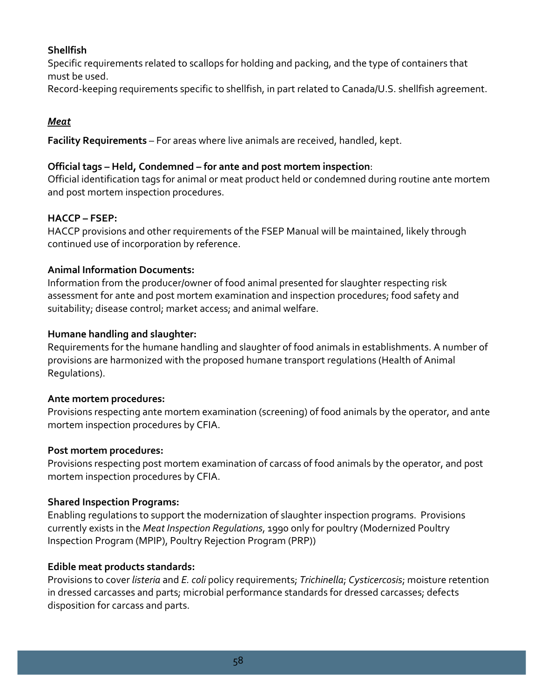# **Shellfish**

Specific requirements related to scallops for holding and packing, and the type of containers that must be used.

Record-keeping requirements specific to shellfish, in part related to Canada/U.S. shellfish agreement.

# *Meat*

**Facility Requirements** – For areas where live animals are received, handled, kept.

## **Official tags – Held, Condemned – for ante and post mortem inspection**:

Official identification tags for animal or meat product held or condemned during routine ante mortem and post mortem inspection procedures.

## **HACCP – FSEP:**

HACCP provisions and other requirements of the FSEP Manual will be maintained, likely through continued use of incorporation by reference.

## **Animal Information Documents:**

Information from the producer/owner of food animal presented for slaughter respecting risk assessment for ante and post mortem examination and inspection procedures; food safety and suitability; disease control; market access; and animal welfare.

## **Humane handling and slaughter:**

Requirements for the humane handling and slaughter of food animals in establishments. A number of provisions are harmonized with the proposed humane transport regulations (Health of Animal Regulations).

## **Ante mortem procedures:**

Provisions respecting ante mortem examination (screening) of food animals by the operator, and ante mortem inspection procedures by CFIA.

## **Post mortem procedures:**

Provisions respecting post mortem examination of carcass of food animals by the operator, and post mortem inspection procedures by CFIA.

## **Shared Inspection Programs:**

Enabling regulations to support the modernization of slaughter inspection programs. Provisions currently exists in the *Meat Inspection Regulations*, 1990 only for poultry (Modernized Poultry Inspection Program (MPIP), Poultry Rejection Program (PRP))

## **Edible meat products standards:**

Provisions to cover *listeria* and *E. coli* policy requirements; *Trichinella*; *Cysticercosis*; moisture retention in dressed carcasses and parts; microbial performance standards for dressed carcasses; defects disposition for carcass and parts.